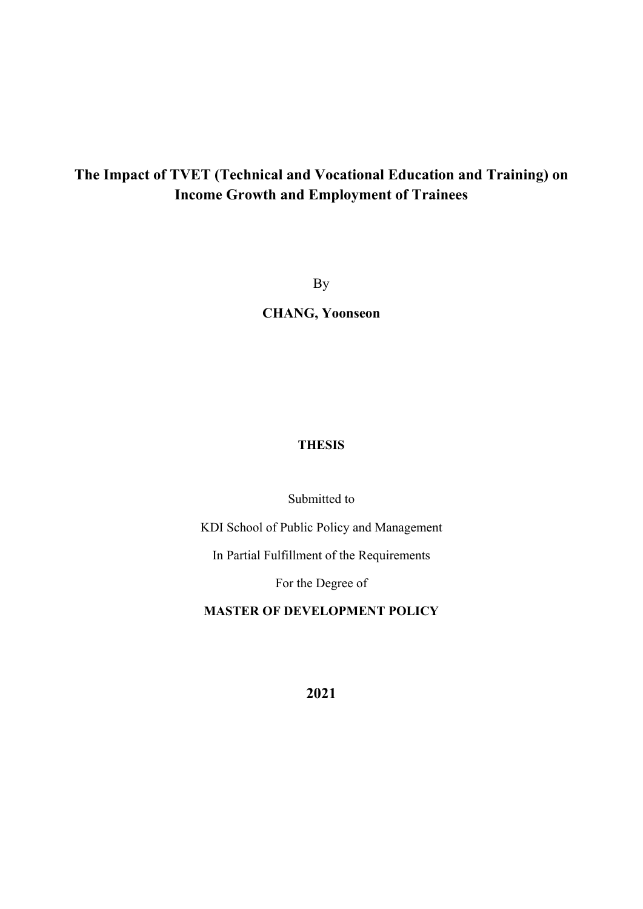# **The Impact of TVET (Technical and Vocational Education and Training) on Income Growth and Employment of Trainees**

By

**CHANG, Yoonseon**

# **THESIS**

Submitted to

KDI School of Public Policy and Management

In Partial Fulfillment of the Requirements

For the Degree of

**MASTER OF DEVELOPMENT POLICY** 

**2021**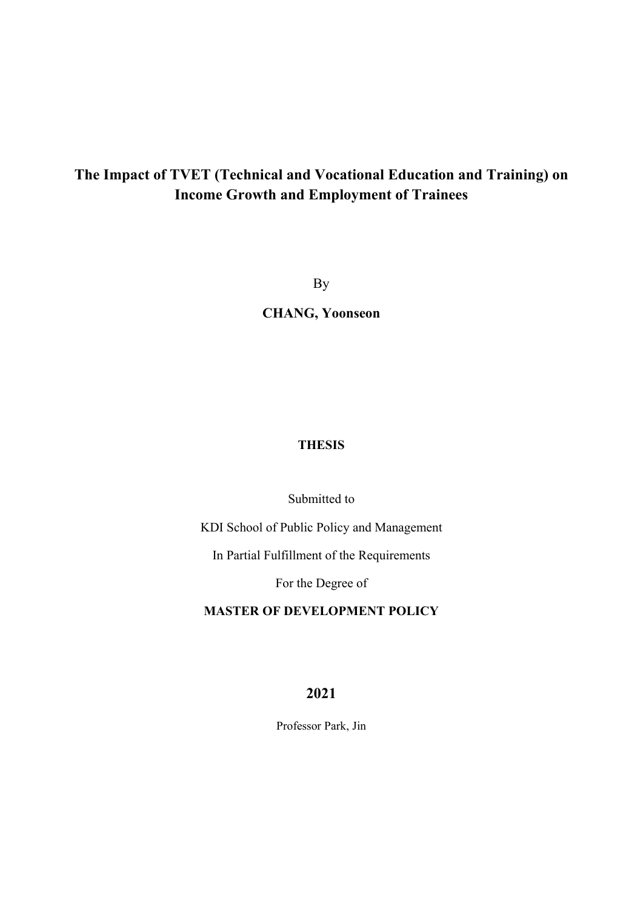# **The Impact of TVET (Technical and Vocational Education and Training) on Income Growth and Employment of Trainees**

By

**CHANG, Yoonseon**

# **THESIS**

Submitted to

KDI School of Public Policy and Management

In Partial Fulfillment of the Requirements

For the Degree of

**MASTER OF DEVELOPMENT POLICY**

**2021** 

Professor Park, Jin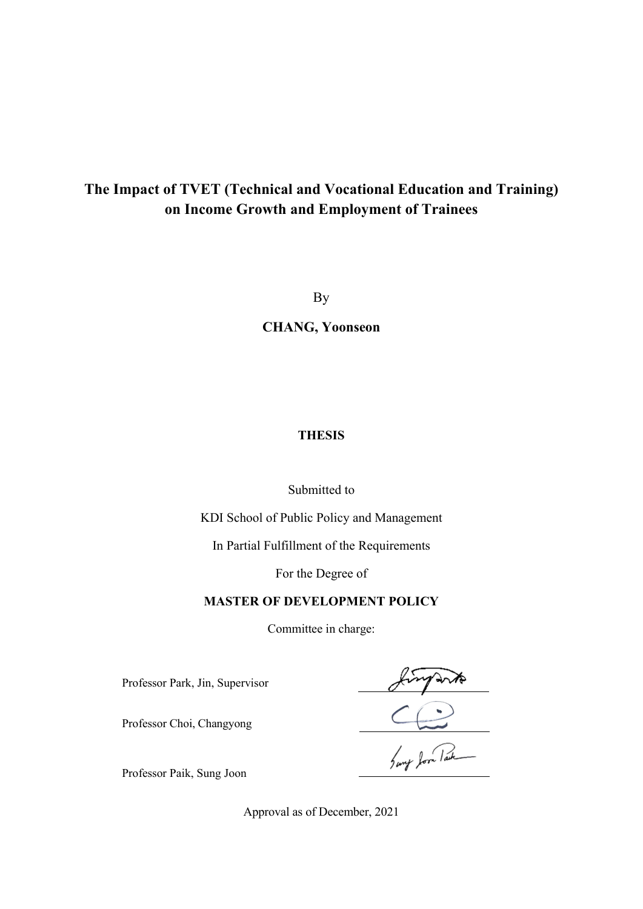# **The Impact of TVET (Technical and Vocational Education and Training) on Income Growth and Employment of Trainees**

By

**CHANG, Yoonseon**

## **THESIS**

### Submitted to

KDI School of Public Policy and Management

In Partial Fulfillment of the Requirements

For the Degree of

# **MASTER OF DEVELOPMENT POLICY**

Committee in charge:

Professor Park, Jin, Supervisor

Sung Jon Pack

Professor Choi, Changyong

Professor Paik, Sung Joon

Approval as of December, 2021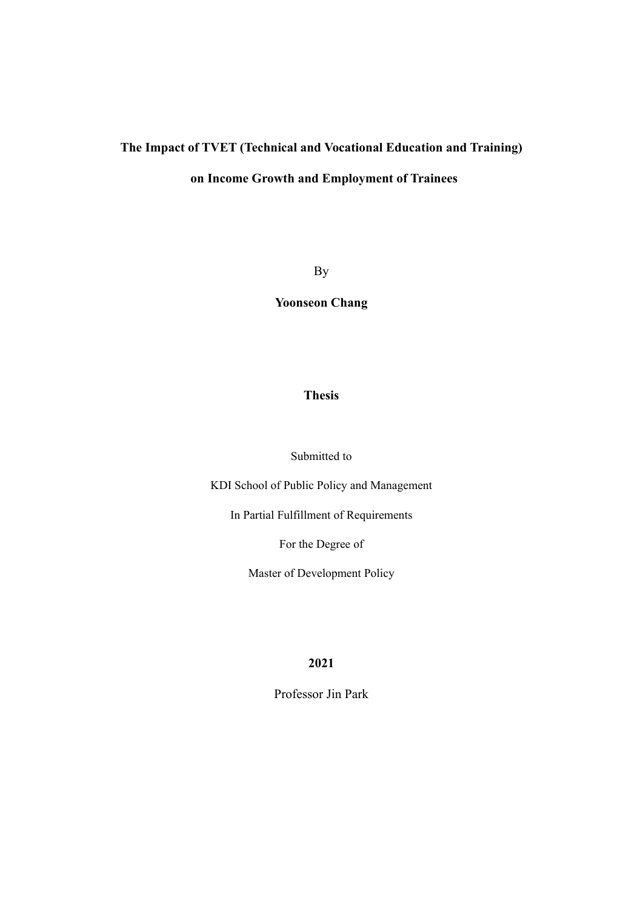# **The Impact of TVET (Technical and Vocational Education and Training)**

# **on Income Growth and Employment of Trainees**

By

**Yoonseon Chang** 

## **Thesis**

Submitted to

KDI School of Public Policy and Management

In Partial Fulfillment of Requirements

For the Degree of

Master of Development Policy

**2021** 

Professor Jin Park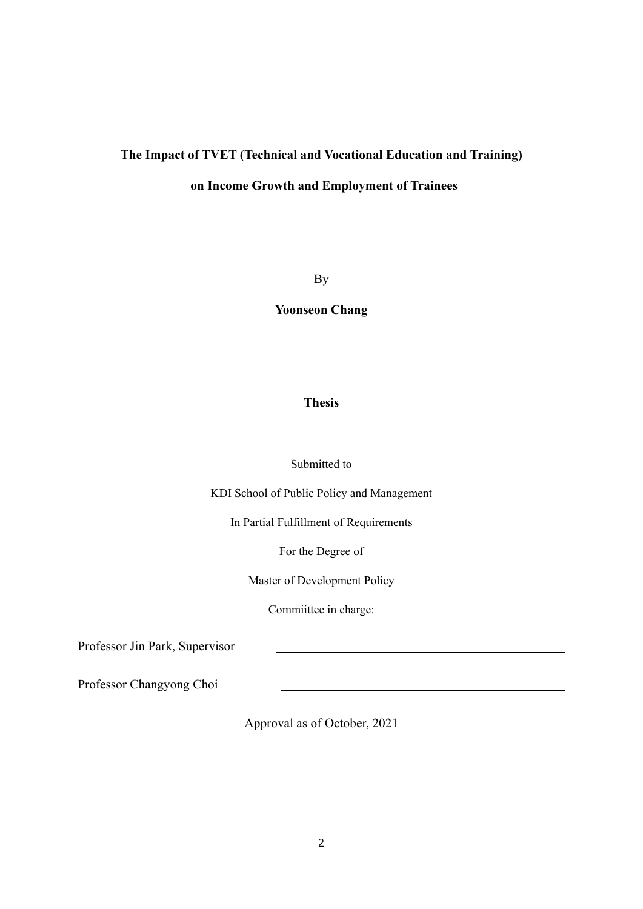# **The Impact of TVET (Technical and Vocational Education and Training) on Income Growth and Employment of Trainees**

By

**Yoonseon Chang** 

## **Thesis**

#### Submitted to

KDI School of Public Policy and Management

In Partial Fulfillment of Requirements

For the Degree of

Master of Development Policy

Commiittee in charge:

Professor Jin Park, Supervisor

Professor Changyong Choi

Approval as of October, 2021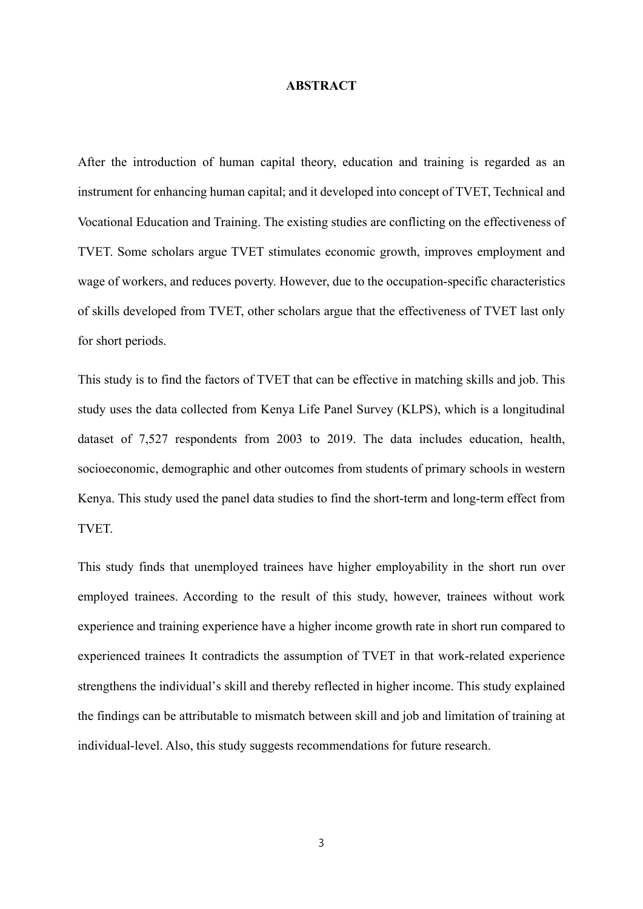#### **ABSTRACT**

After the introduction of human capital theory, education and training is regarded as an instrument for enhancing human capital; and it developed into concept of TVET, Technical and Vocational Education and Training. The existing studies are conflicting on the effectiveness of TVET. Some scholars argue TVET stimulates economic growth, improves employment and wage of workers, and reduces poverty. However, due to the occupation-specific characteristics of skills developed from TVET, other scholars argue that the effectiveness of TVET last only for short periods.

This study is to find the factors of TVET that can be effective in matching skills and job. This study uses the data collected from Kenya Life Panel Survey (KLPS), which is a longitudinal dataset of 7,527 respondents from 2003 to 2019. The data includes education, health, socioeconomic, demographic and other outcomes from students of primary schools in western Kenya. This study used the panel data studies to find the short-term and long-term effect from TVET.

This study finds that unemployed trainees have higher employability in the short run over employed trainees. According to the result of this study, however, trainees without work experience and training experience have a higher income growth rate in short run compared to experienced trainees It contradicts the assumption of TVET in that work-related experience strengthens the individual's skill and thereby reflected in higher income. This study explained the findings can be attributable to mismatch between skill and job and limitation of training at individual-level. Also, this study suggests recommendations for future research.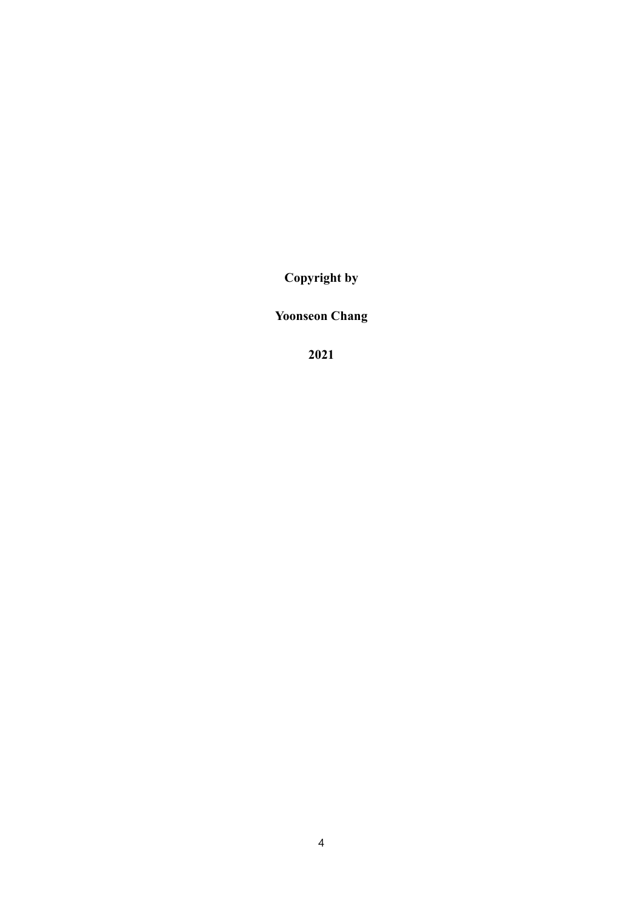**Copyright by** 

**Yoonseon Chang** 

**2021**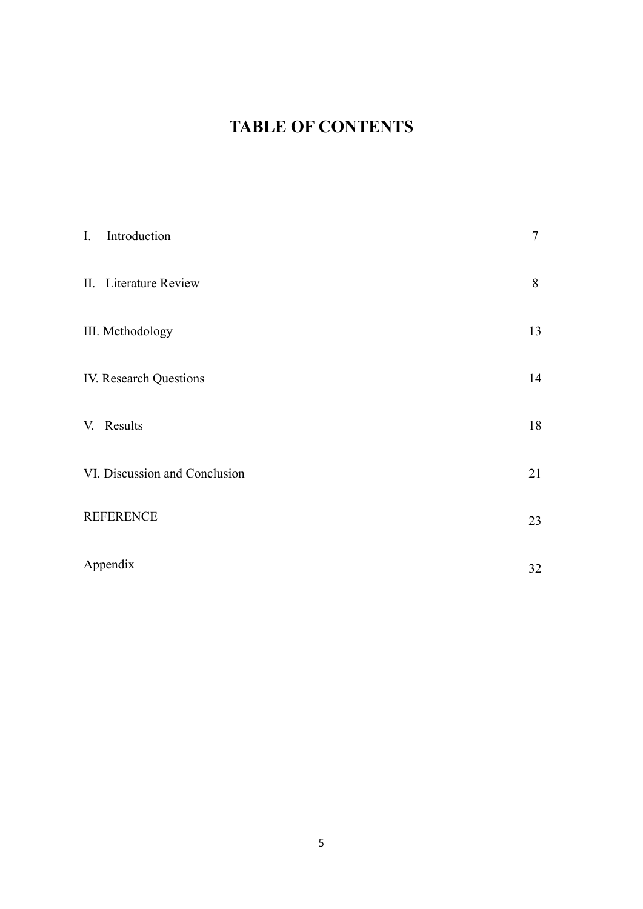# **TABLE OF CONTENTS**

| $\mathbf{I}$ . | Introduction                  | 7  |
|----------------|-------------------------------|----|
|                | II. Literature Review         | 8  |
|                | III. Methodology              | 13 |
|                | IV. Research Questions        | 14 |
|                | V. Results                    | 18 |
|                | VI. Discussion and Conclusion | 21 |
|                | <b>REFERENCE</b>              | 23 |
|                | Appendix                      | 32 |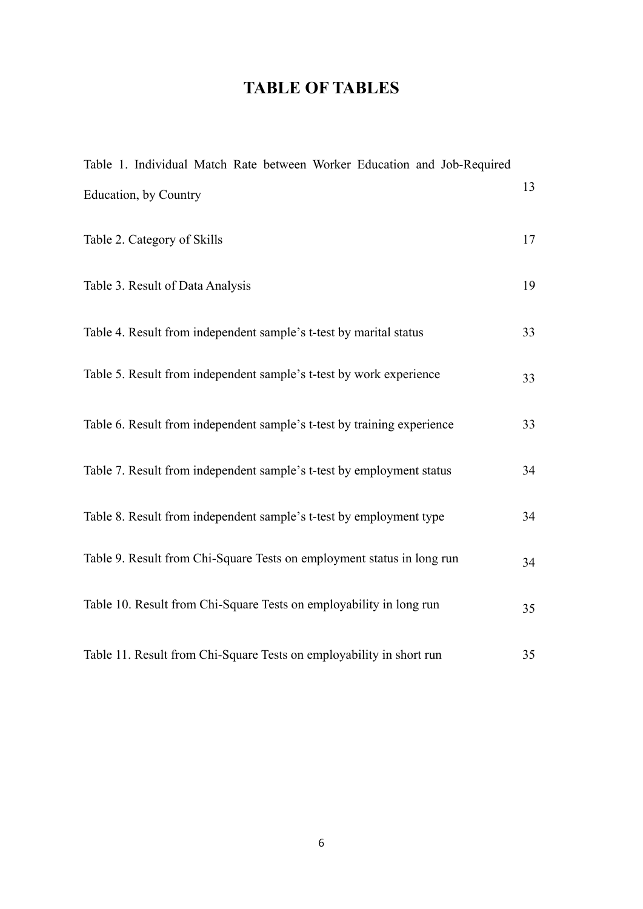# **TABLE OF TABLES**

| Table 1. Individual Match Rate between Worker Education and Job-Required |    |
|--------------------------------------------------------------------------|----|
| Education, by Country                                                    | 13 |
| Table 2. Category of Skills                                              | 17 |
| Table 3. Result of Data Analysis                                         | 19 |
| Table 4. Result from independent sample's t-test by marital status       | 33 |
| Table 5. Result from independent sample's t-test by work experience      | 33 |
| Table 6. Result from independent sample's t-test by training experience  | 33 |
| Table 7. Result from independent sample's t-test by employment status    | 34 |
| Table 8. Result from independent sample's t-test by employment type      | 34 |
| Table 9. Result from Chi-Square Tests on employment status in long run   | 34 |
| Table 10. Result from Chi-Square Tests on employability in long run      | 35 |
| Table 11. Result from Chi-Square Tests on employability in short run     | 35 |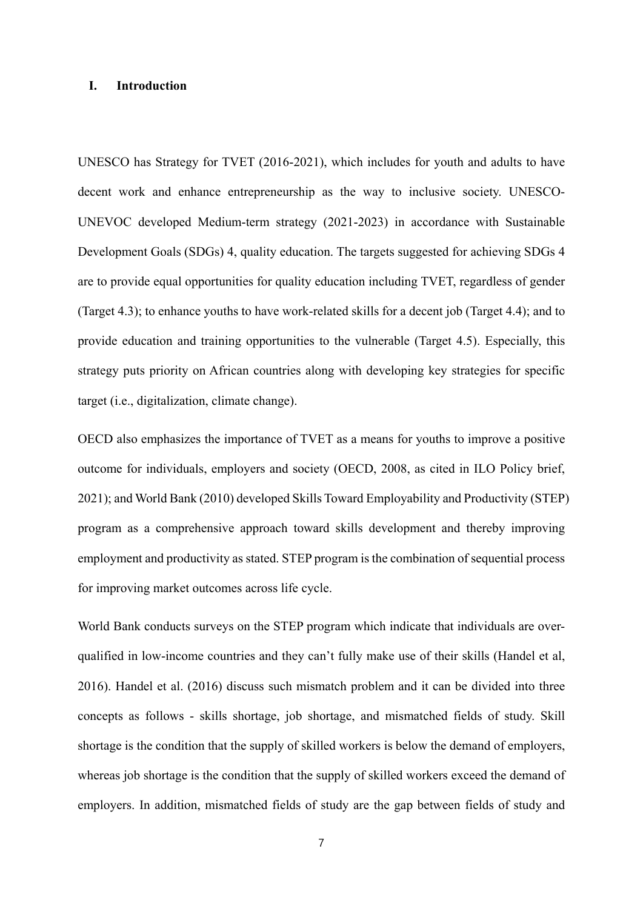#### **I. Introduction**

UNESCO has Strategy for TVET (2016-2021), which includes for youth and adults to have decent work and enhance entrepreneurship as the way to inclusive society. UNESCO-UNEVOC developed Medium-term strategy (2021-2023) in accordance with Sustainable Development Goals (SDGs) 4, quality education. The targets suggested for achieving SDGs 4 are to provide equal opportunities for quality education including TVET, regardless of gender (Target 4.3); to enhance youths to have work-related skills for a decent job (Target 4.4); and to provide education and training opportunities to the vulnerable (Target 4.5). Especially, this strategy puts priority on African countries along with developing key strategies for specific target (i.e., digitalization, climate change).

OECD also emphasizes the importance of TVET as a means for youths to improve a positive outcome for individuals, employers and society (OECD, 2008, as cited in ILO Policy brief, 2021); and World Bank (2010) developed Skills Toward Employability and Productivity (STEP) program as a comprehensive approach toward skills development and thereby improving employment and productivity as stated. STEP program is the combination of sequential process for improving market outcomes across life cycle.

World Bank conducts surveys on the STEP program which indicate that individuals are overqualified in low-income countries and they can't fully make use of their skills (Handel et al, 2016). Handel et al. (2016) discuss such mismatch problem and it can be divided into three concepts as follows - skills shortage, job shortage, and mismatched fields of study. Skill shortage is the condition that the supply of skilled workers is below the demand of employers, whereas job shortage is the condition that the supply of skilled workers exceed the demand of employers. In addition, mismatched fields of study are the gap between fields of study and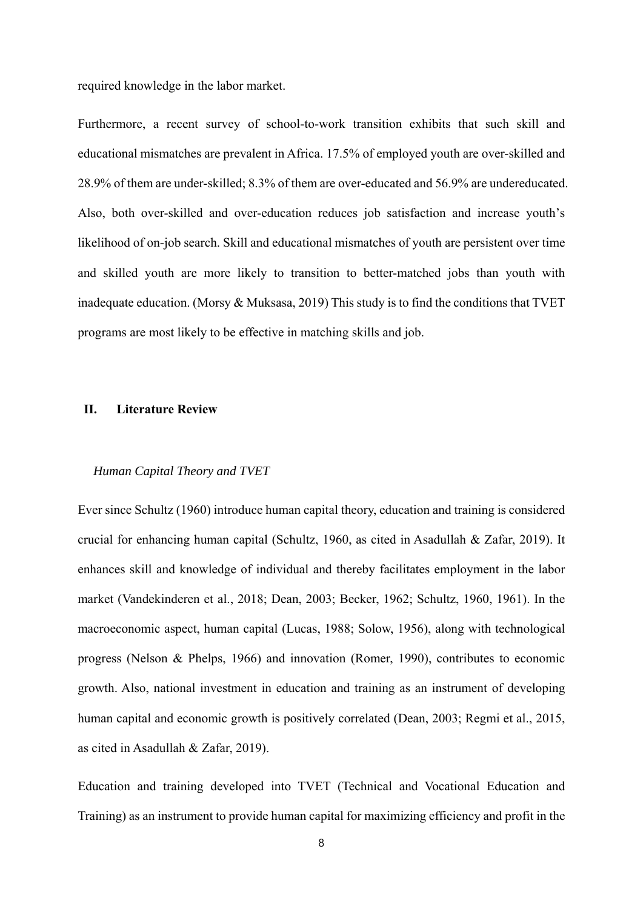required knowledge in the labor market.

Furthermore, a recent survey of school-to-work transition exhibits that such skill and educational mismatches are prevalent in Africa. 17.5% of employed youth are over-skilled and 28.9% of them are under-skilled; 8.3% of them are over-educated and 56.9% are undereducated. Also, both over-skilled and over-education reduces job satisfaction and increase youth's likelihood of on-job search. Skill and educational mismatches of youth are persistent over time and skilled youth are more likely to transition to better-matched jobs than youth with inadequate education. (Morsy & Muksasa, 2019) This study is to find the conditions that TVET programs are most likely to be effective in matching skills and job.

#### **II. Literature Review**

#### *Human Capital Theory and TVET*

Ever since Schultz (1960) introduce human capital theory, education and training is considered crucial for enhancing human capital (Schultz, 1960, as cited in Asadullah & Zafar, 2019). It enhances skill and knowledge of individual and thereby facilitates employment in the labor market (Vandekinderen et al., 2018; Dean, 2003; Becker, 1962; Schultz, 1960, 1961). In the macroeconomic aspect, human capital (Lucas, 1988; Solow, 1956), along with technological progress (Nelson & Phelps, 1966) and innovation (Romer, 1990), contributes to economic growth. Also, national investment in education and training as an instrument of developing human capital and economic growth is positively correlated (Dean, 2003; Regmi et al., 2015, as cited in Asadullah & Zafar, 2019).

Education and training developed into TVET (Technical and Vocational Education and Training) as an instrument to provide human capital for maximizing efficiency and profit in the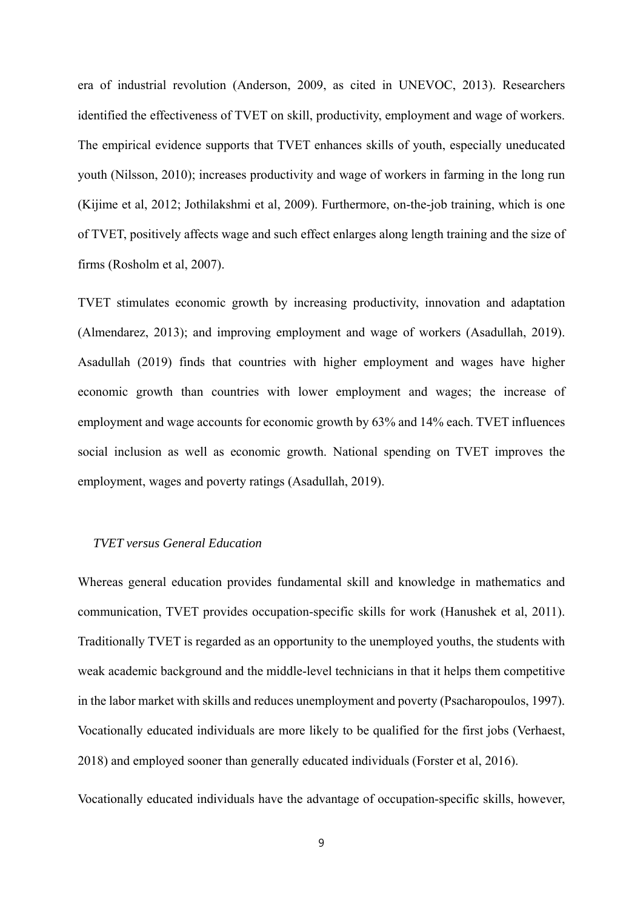era of industrial revolution (Anderson, 2009, as cited in UNEVOC, 2013). Researchers identified the effectiveness of TVET on skill, productivity, employment and wage of workers. The empirical evidence supports that TVET enhances skills of youth, especially uneducated youth (Nilsson, 2010); increases productivity and wage of workers in farming in the long run (Kijime et al, 2012; Jothilakshmi et al, 2009). Furthermore, on-the-job training, which is one of TVET, positively affects wage and such effect enlarges along length training and the size of firms (Rosholm et al, 2007).

TVET stimulates economic growth by increasing productivity, innovation and adaptation (Almendarez, 2013); and improving employment and wage of workers (Asadullah, 2019). Asadullah (2019) finds that countries with higher employment and wages have higher economic growth than countries with lower employment and wages; the increase of employment and wage accounts for economic growth by 63% and 14% each. TVET influences social inclusion as well as economic growth. National spending on TVET improves the employment, wages and poverty ratings (Asadullah, 2019).

#### *TVET versus General Education*

Whereas general education provides fundamental skill and knowledge in mathematics and communication, TVET provides occupation-specific skills for work (Hanushek et al, 2011). Traditionally TVET is regarded as an opportunity to the unemployed youths, the students with weak academic background and the middle-level technicians in that it helps them competitive in the labor market with skills and reduces unemployment and poverty (Psacharopoulos, 1997). Vocationally educated individuals are more likely to be qualified for the first jobs (Verhaest, 2018) and employed sooner than generally educated individuals (Forster et al, 2016).

Vocationally educated individuals have the advantage of occupation-specific skills, however,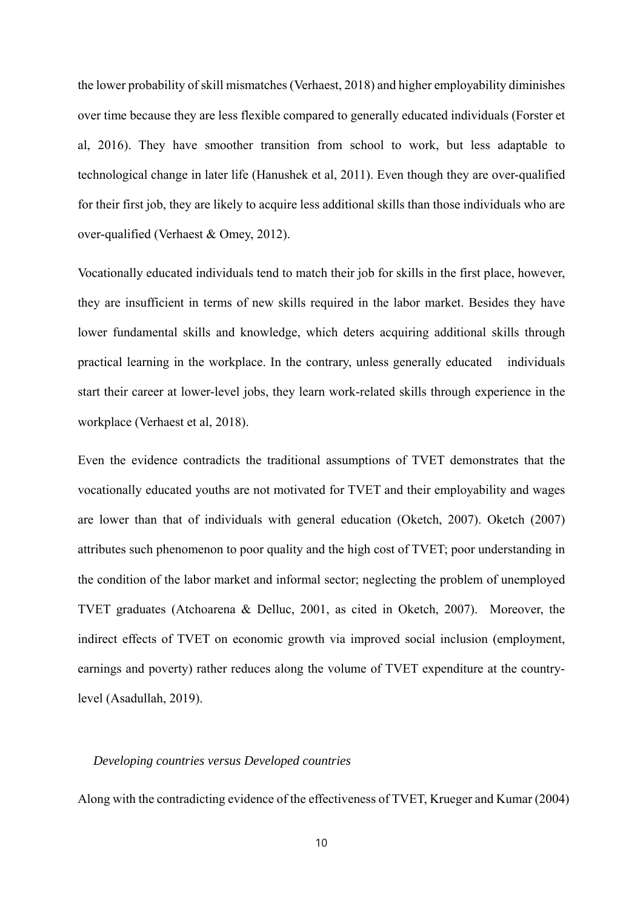the lower probability of skill mismatches (Verhaest, 2018) and higher employability diminishes over time because they are less flexible compared to generally educated individuals (Forster et al, 2016). They have smoother transition from school to work, but less adaptable to technological change in later life (Hanushek et al, 2011). Even though they are over-qualified for their first job, they are likely to acquire less additional skills than those individuals who are over-qualified (Verhaest & Omey, 2012).

Vocationally educated individuals tend to match their job for skills in the first place, however, they are insufficient in terms of new skills required in the labor market. Besides they have lower fundamental skills and knowledge, which deters acquiring additional skills through practical learning in the workplace. In the contrary, unless generally educated individuals start their career at lower-level jobs, they learn work-related skills through experience in the workplace (Verhaest et al, 2018).

Even the evidence contradicts the traditional assumptions of TVET demonstrates that the vocationally educated youths are not motivated for TVET and their employability and wages are lower than that of individuals with general education (Oketch, 2007). Oketch (2007) attributes such phenomenon to poor quality and the high cost of TVET; poor understanding in the condition of the labor market and informal sector; neglecting the problem of unemployed TVET graduates (Atchoarena & Delluc, 2001, as cited in Oketch, 2007). Moreover, the indirect effects of TVET on economic growth via improved social inclusion (employment, earnings and poverty) rather reduces along the volume of TVET expenditure at the countrylevel (Asadullah, 2019).

#### *Developing countries versus Developed countries*

Along with the contradicting evidence of the effectiveness of TVET, Krueger and Kumar (2004)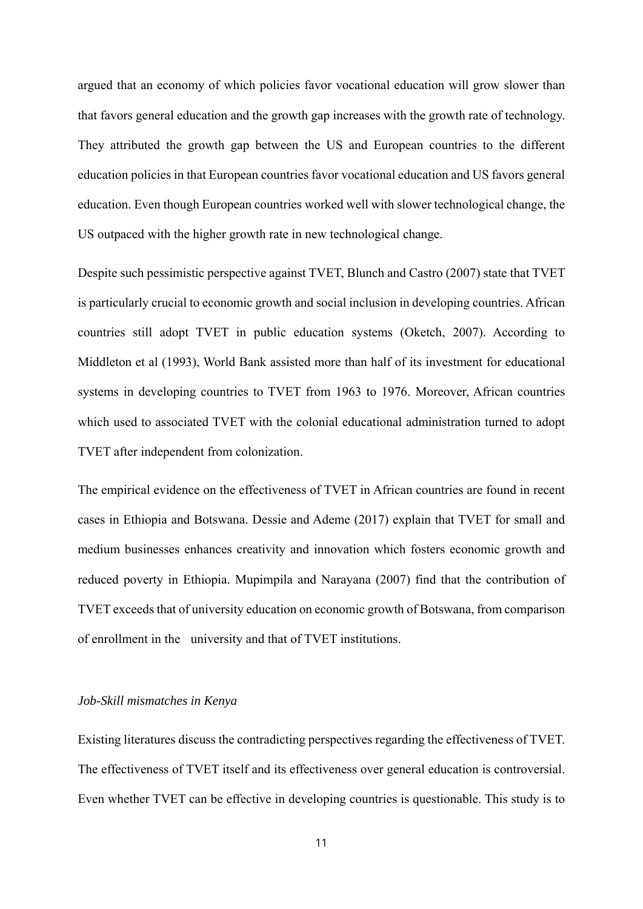argued that an economy of which policies favor vocational education will grow slower than that favors general education and the growth gap increases with the growth rate of technology. They attributed the growth gap between the US and European countries to the different education policies in that European countries favor vocational education and US favors general education. Even though European countries worked well with slower technological change, the US outpaced with the higher growth rate in new technological change.

Despite such pessimistic perspective against TVET, Blunch and Castro (2007) state that TVET is particularly crucial to economic growth and social inclusion in developing countries. African countries still adopt TVET in public education systems (Oketch, 2007). According to Middleton et al (1993), World Bank assisted more than half of its investment for educational systems in developing countries to TVET from 1963 to 1976. Moreover, African countries which used to associated TVET with the colonial educational administration turned to adopt TVET after independent from colonization.

The empirical evidence on the effectiveness of TVET in African countries are found in recent cases in Ethiopia and Botswana. Dessie and Ademe (2017) explain that TVET for small and medium businesses enhances creativity and innovation which fosters economic growth and reduced poverty in Ethiopia. Mupimpila and Narayana (2007) find that the contribution of TVET exceeds that of university education on economic growth of Botswana, from comparison of enrollment in the university and that of TVET institutions.

#### *Job-Skill mismatches in Kenya*

Existing literatures discuss the contradicting perspectives regarding the effectiveness of TVET. The effectiveness of TVET itself and its effectiveness over general education is controversial. Even whether TVET can be effective in developing countries is questionable. This study is to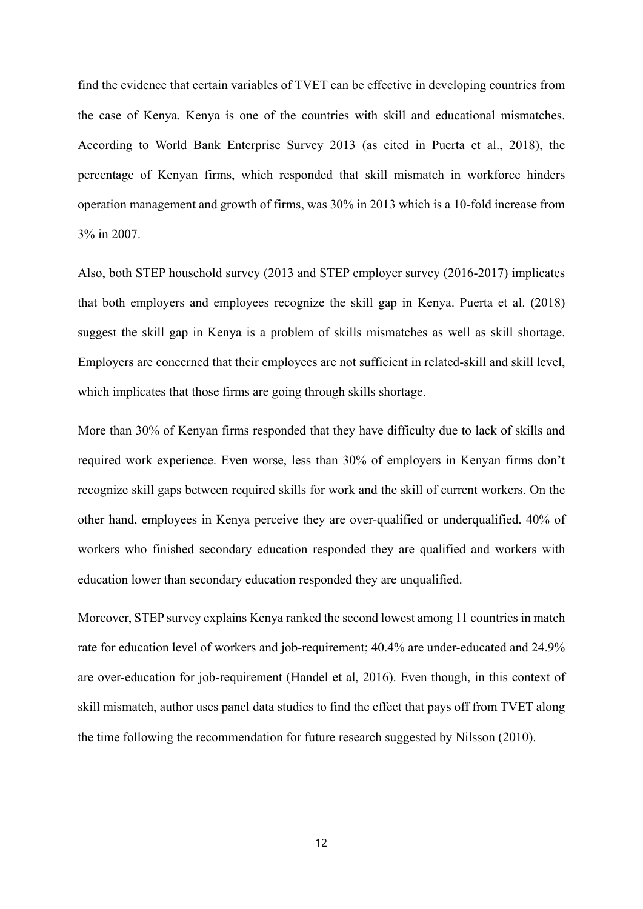find the evidence that certain variables of TVET can be effective in developing countries from the case of Kenya. Kenya is one of the countries with skill and educational mismatches. According to World Bank Enterprise Survey 2013 (as cited in Puerta et al., 2018), the percentage of Kenyan firms, which responded that skill mismatch in workforce hinders operation management and growth of firms, was 30% in 2013 which is a 10-fold increase from 3% in 2007.

Also, both STEP household survey (2013 and STEP employer survey (2016-2017) implicates that both employers and employees recognize the skill gap in Kenya. Puerta et al. (2018) suggest the skill gap in Kenya is a problem of skills mismatches as well as skill shortage. Employers are concerned that their employees are not sufficient in related-skill and skill level, which implicates that those firms are going through skills shortage.

More than 30% of Kenyan firms responded that they have difficulty due to lack of skills and required work experience. Even worse, less than 30% of employers in Kenyan firms don't recognize skill gaps between required skills for work and the skill of current workers. On the other hand, employees in Kenya perceive they are over-qualified or underqualified. 40% of workers who finished secondary education responded they are qualified and workers with education lower than secondary education responded they are unqualified.

Moreover, STEP survey explains Kenya ranked the second lowest among 11 countries in match rate for education level of workers and job-requirement; 40.4% are under-educated and 24.9% are over-education for job-requirement (Handel et al, 2016). Even though, in this context of skill mismatch, author uses panel data studies to find the effect that pays off from TVET along the time following the recommendation for future research suggested by Nilsson (2010).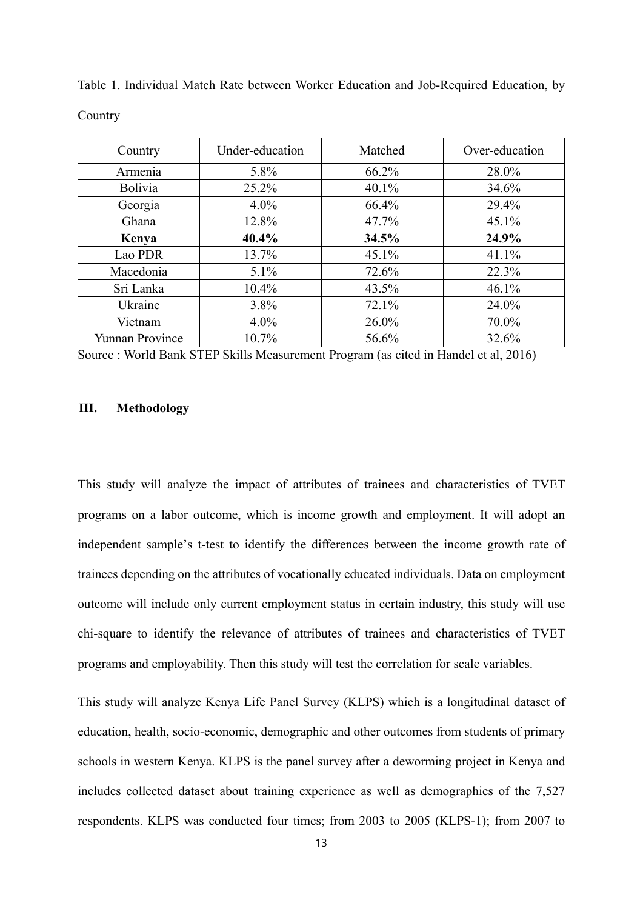| Country                | Under-education | Matched | Over-education |
|------------------------|-----------------|---------|----------------|
| Armenia                | 5.8%            | 66.2%   | 28.0%          |
| Bolivia                | 25.2%           | 40.1%   | 34.6%          |
| Georgia                | $4.0\%$         | 66.4%   | 29.4%          |
| Ghana                  | 12.8%           | 47.7%   | 45.1%          |
| Kenya                  | 40.4%           | 34.5%   | 24.9%          |
| Lao PDR                | 13.7%           | 45.1%   | 41.1%          |
| Macedonia              | $5.1\%$         | 72.6%   | 22.3%          |
| Sri Lanka              | 10.4%           | 43.5%   | 46.1%          |
| Ukraine                | 3.8%            | 72.1%   | 24.0%          |
| Vietnam                | $4.0\%$         | 26.0%   | 70.0%          |
| <b>Yunnan Province</b> | 10.7%           | 56.6%   | 32.6%          |

Table 1. Individual Match Rate between Worker Education and Job-Required Education, by Country

Source : World Bank STEP Skills Measurement Program (as cited in Handel et al, 2016)

#### **III. Methodology**

This study will analyze the impact of attributes of trainees and characteristics of TVET programs on a labor outcome, which is income growth and employment. It will adopt an independent sample's t-test to identify the differences between the income growth rate of trainees depending on the attributes of vocationally educated individuals. Data on employment outcome will include only current employment status in certain industry, this study will use chi-square to identify the relevance of attributes of trainees and characteristics of TVET programs and employability. Then this study will test the correlation for scale variables.

This study will analyze Kenya Life Panel Survey (KLPS) which is a longitudinal dataset of education, health, socio-economic, demographic and other outcomes from students of primary schools in western Kenya. KLPS is the panel survey after a deworming project in Kenya and includes collected dataset about training experience as well as demographics of the 7,527 respondents. KLPS was conducted four times; from 2003 to 2005 (KLPS-1); from 2007 to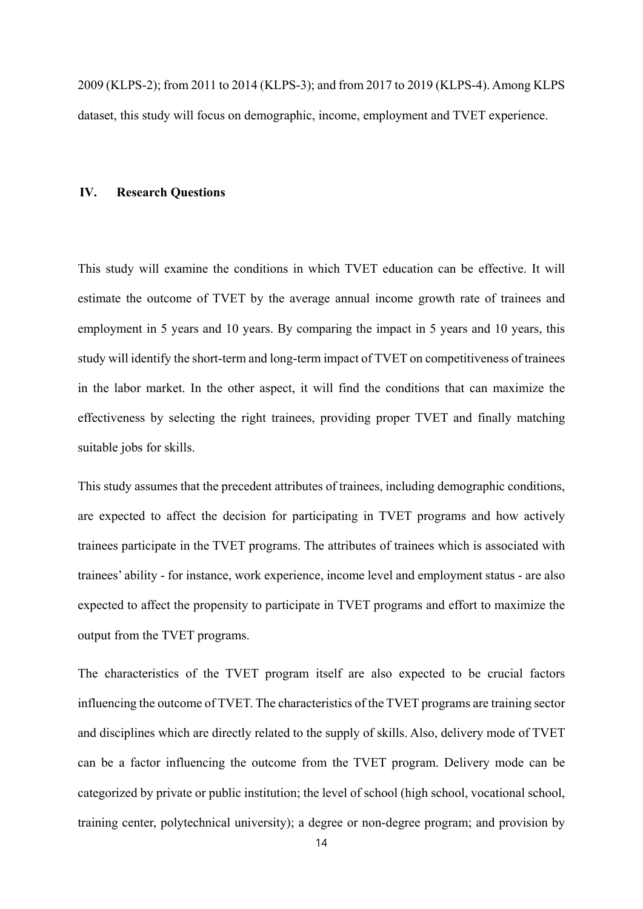2009 (KLPS-2); from 2011 to 2014 (KLPS-3); and from 2017 to 2019 (KLPS-4). Among KLPS dataset, this study will focus on demographic, income, employment and TVET experience.

#### **IV. Research Questions**

This study will examine the conditions in which TVET education can be effective. It will estimate the outcome of TVET by the average annual income growth rate of trainees and employment in 5 years and 10 years. By comparing the impact in 5 years and 10 years, this study will identify the short-term and long-term impact of TVET on competitiveness of trainees in the labor market. In the other aspect, it will find the conditions that can maximize the effectiveness by selecting the right trainees, providing proper TVET and finally matching suitable jobs for skills.

This study assumes that the precedent attributes of trainees, including demographic conditions, are expected to affect the decision for participating in TVET programs and how actively trainees participate in the TVET programs. The attributes of trainees which is associated with trainees' ability - for instance, work experience, income level and employment status - are also expected to affect the propensity to participate in TVET programs and effort to maximize the output from the TVET programs.

The characteristics of the TVET program itself are also expected to be crucial factors influencing the outcome of TVET. The characteristics of the TVET programs are training sector and disciplines which are directly related to the supply of skills. Also, delivery mode of TVET can be a factor influencing the outcome from the TVET program. Delivery mode can be categorized by private or public institution; the level of school (high school, vocational school, training center, polytechnical university); a degree or non-degree program; and provision by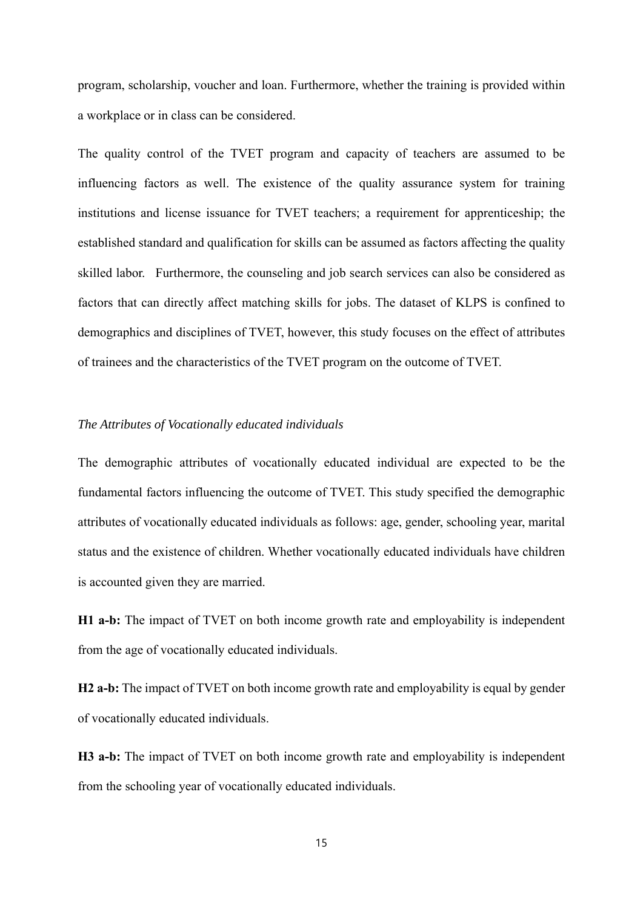program, scholarship, voucher and loan. Furthermore, whether the training is provided within a workplace or in class can be considered.

The quality control of the TVET program and capacity of teachers are assumed to be influencing factors as well. The existence of the quality assurance system for training institutions and license issuance for TVET teachers; a requirement for apprenticeship; the established standard and qualification for skills can be assumed as factors affecting the quality skilled labor. Furthermore, the counseling and job search services can also be considered as factors that can directly affect matching skills for jobs. The dataset of KLPS is confined to demographics and disciplines of TVET, however, this study focuses on the effect of attributes of trainees and the characteristics of the TVET program on the outcome of TVET.

## *The Attributes of Vocationally educated individuals*

The demographic attributes of vocationally educated individual are expected to be the fundamental factors influencing the outcome of TVET. This study specified the demographic attributes of vocationally educated individuals as follows: age, gender, schooling year, marital status and the existence of children. Whether vocationally educated individuals have children is accounted given they are married.

**H1 a-b:** The impact of TVET on both income growth rate and employability is independent from the age of vocationally educated individuals.

**H2 a-b:** The impact of TVET on both income growth rate and employability is equal by gender of vocationally educated individuals.

**H3 a-b:** The impact of TVET on both income growth rate and employability is independent from the schooling year of vocationally educated individuals.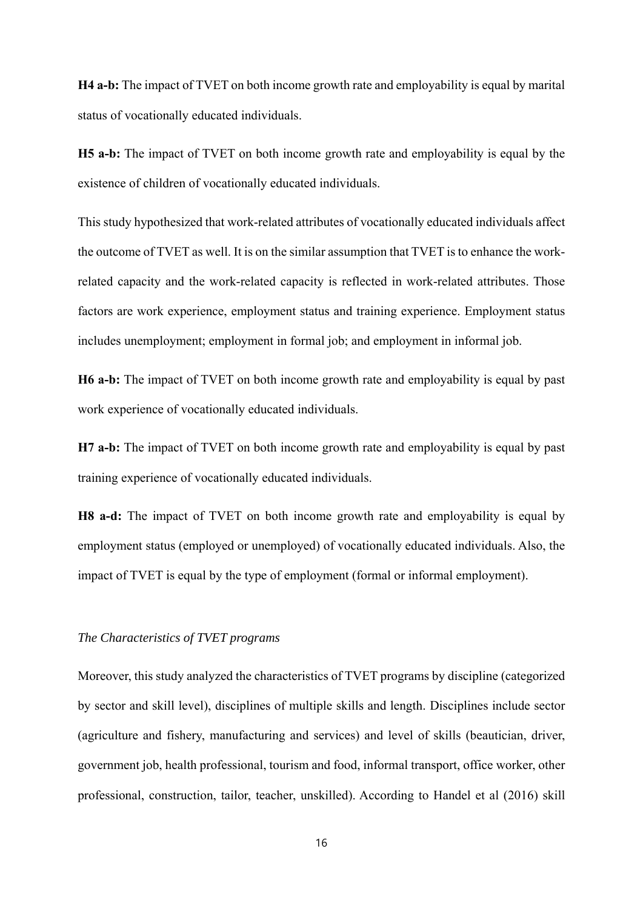**H4 a-b:** The impact of TVET on both income growth rate and employability is equal by marital status of vocationally educated individuals.

**H5 a-b:** The impact of TVET on both income growth rate and employability is equal by the existence of children of vocationally educated individuals.

This study hypothesized that work-related attributes of vocationally educated individuals affect the outcome of TVET as well. It is on the similar assumption that TVET is to enhance the workrelated capacity and the work-related capacity is reflected in work-related attributes. Those factors are work experience, employment status and training experience. Employment status includes unemployment; employment in formal job; and employment in informal job.

**H6 a-b:** The impact of TVET on both income growth rate and employability is equal by past work experience of vocationally educated individuals.

**H7 a-b:** The impact of TVET on both income growth rate and employability is equal by past training experience of vocationally educated individuals.

**H8 a-d:** The impact of TVET on both income growth rate and employability is equal by employment status (employed or unemployed) of vocationally educated individuals. Also, the impact of TVET is equal by the type of employment (formal or informal employment).

#### *The Characteristics of TVET programs*

Moreover, this study analyzed the characteristics of TVET programs by discipline (categorized by sector and skill level), disciplines of multiple skills and length. Disciplines include sector (agriculture and fishery, manufacturing and services) and level of skills (beautician, driver, government job, health professional, tourism and food, informal transport, office worker, other professional, construction, tailor, teacher, unskilled). According to Handel et al (2016) skill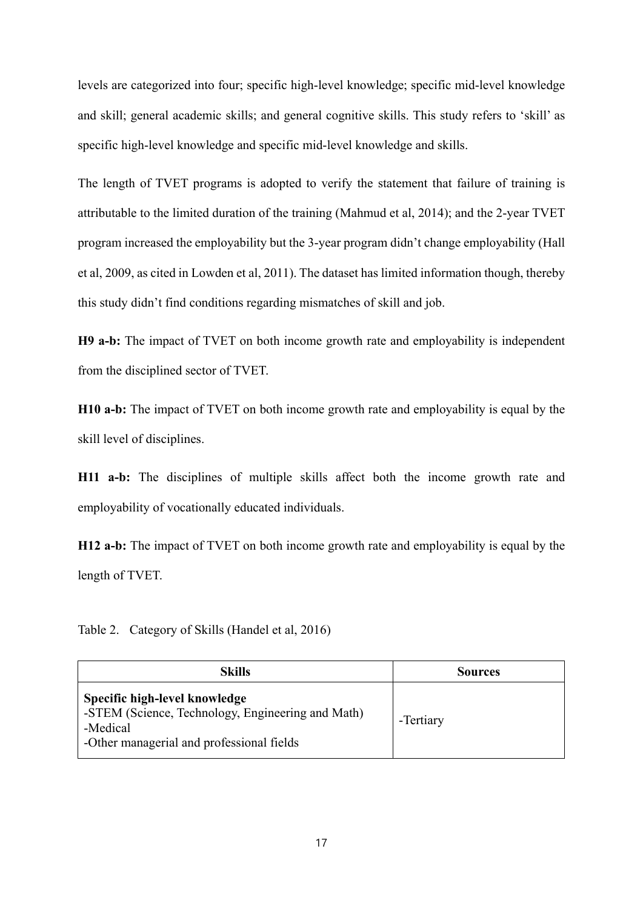levels are categorized into four; specific high-level knowledge; specific mid-level knowledge and skill; general academic skills; and general cognitive skills. This study refers to 'skill' as specific high-level knowledge and specific mid-level knowledge and skills.

The length of TVET programs is adopted to verify the statement that failure of training is attributable to the limited duration of the training (Mahmud et al, 2014); and the 2-year TVET program increased the employability but the 3-year program didn't change employability (Hall et al, 2009, as cited in Lowden et al, 2011). The dataset has limited information though, thereby this study didn't find conditions regarding mismatches of skill and job.

**H9 a-b:** The impact of TVET on both income growth rate and employability is independent from the disciplined sector of TVET.

**H10 a-b:** The impact of TVET on both income growth rate and employability is equal by the skill level of disciplines.

**H11 a-b:** The disciplines of multiple skills affect both the income growth rate and employability of vocationally educated individuals.

**H12 a-b:** The impact of TVET on both income growth rate and employability is equal by the length of TVET.

Table 2. Category of Skills (Handel et al, 2016)

| <b>Skills</b>                                                                                                                               | <b>Sources</b> |
|---------------------------------------------------------------------------------------------------------------------------------------------|----------------|
| Specific high-level knowledge<br>-STEM (Science, Technology, Engineering and Math)<br>-Medical<br>-Other managerial and professional fields | -Tertiary      |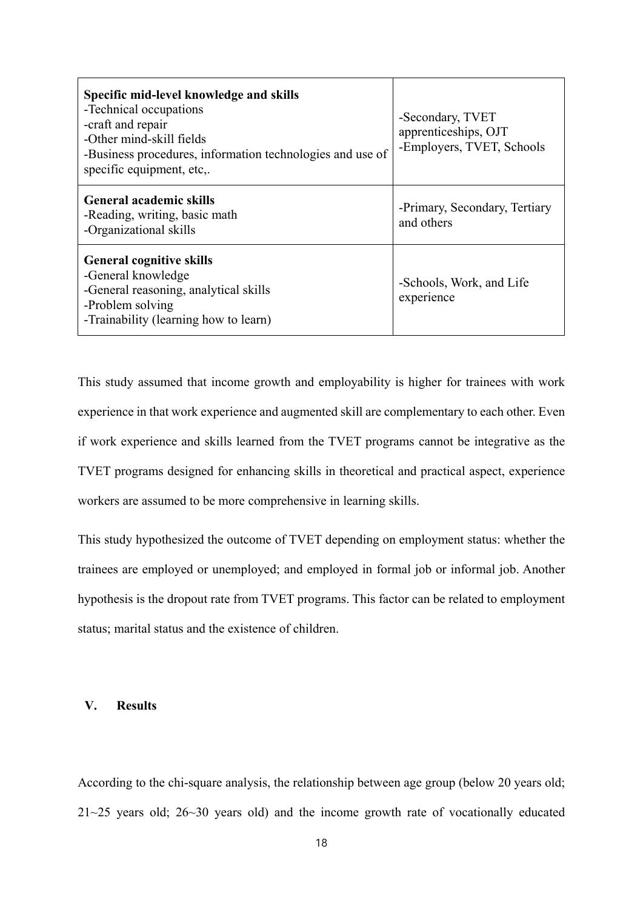| Specific mid-level knowledge and skills<br>-Technical occupations<br>-craft and repair<br>-Other mind-skill fields<br>-Business procedures, information technologies and use of<br>specific equipment, etc,. | -Secondary, TVET<br>apprenticeships, OJT<br>-Employers, TVET, Schools |
|--------------------------------------------------------------------------------------------------------------------------------------------------------------------------------------------------------------|-----------------------------------------------------------------------|
| <b>General academic skills</b><br>-Reading, writing, basic math<br>-Organizational skills                                                                                                                    | -Primary, Secondary, Tertiary<br>and others                           |
| <b>General cognitive skills</b><br>-General knowledge<br>-General reasoning, analytical skills<br>-Problem solving<br>-Trainability (learning how to learn)                                                  | -Schools, Work, and Life<br>experience                                |

This study assumed that income growth and employability is higher for trainees with work experience in that work experience and augmented skill are complementary to each other. Even if work experience and skills learned from the TVET programs cannot be integrative as the TVET programs designed for enhancing skills in theoretical and practical aspect, experience workers are assumed to be more comprehensive in learning skills.

This study hypothesized the outcome of TVET depending on employment status: whether the trainees are employed or unemployed; and employed in formal job or informal job. Another hypothesis is the dropout rate from TVET programs. This factor can be related to employment status; marital status and the existence of children.

#### **V. Results**

According to the chi-square analysis, the relationship between age group (below 20 years old; 21~25 years old; 26~30 years old) and the income growth rate of vocationally educated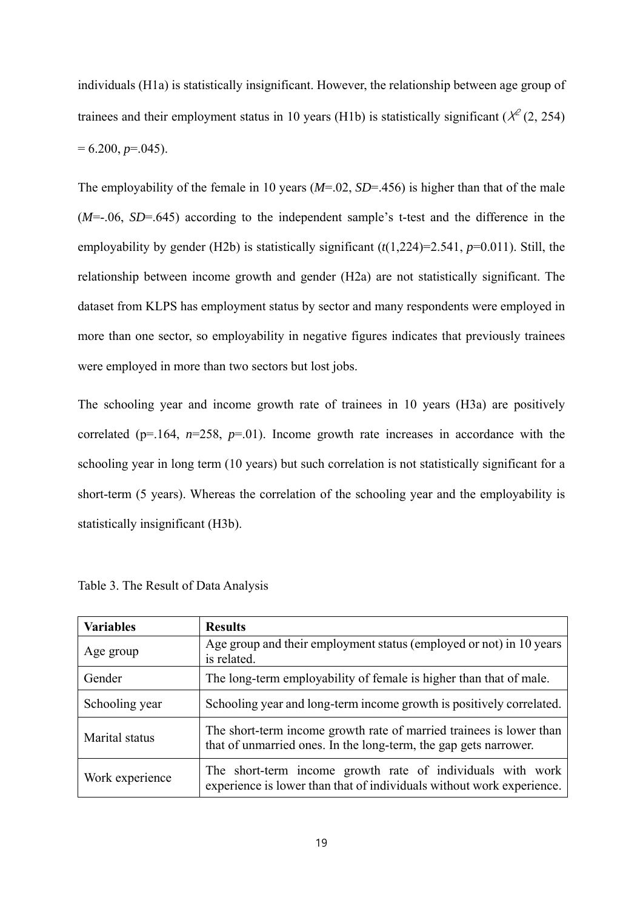individuals (H1a) is statistically insignificant. However, the relationship between age group of trainees and their employment status in 10 years (H1b) is statistically significant ( $\chi^2$  (2, 254)  $= 6.200, p = .045$ .

The employability of the female in 10 years (*M*=.02, *SD*=.456) is higher than that of the male (*M*=-.06, *SD*=.645) according to the independent sample's t-test and the difference in the employability by gender (H2b) is statistically significant (*t*(1,224)=2.541, *p*=0.011). Still, the relationship between income growth and gender (H2a) are not statistically significant. The dataset from KLPS has employment status by sector and many respondents were employed in more than one sector, so employability in negative figures indicates that previously trainees were employed in more than two sectors but lost jobs.

The schooling year and income growth rate of trainees in 10 years (H3a) are positively correlated ( $p=164$ ,  $n=258$ ,  $p=01$ ). Income growth rate increases in accordance with the schooling year in long term (10 years) but such correlation is not statistically significant for a short-term (5 years). Whereas the correlation of the schooling year and the employability is statistically insignificant (H3b).

| <b>Variables</b> | <b>Results</b>                                                                                                                          |
|------------------|-----------------------------------------------------------------------------------------------------------------------------------------|
| Age group        | Age group and their employment status (employed or not) in 10 years<br>is related.                                                      |
| Gender           | The long-term employability of female is higher than that of male.                                                                      |
| Schooling year   | Schooling year and long-term income growth is positively correlated.                                                                    |
| Marital status   | The short-term income growth rate of married trainees is lower than<br>that of unmarried ones. In the long-term, the gap gets narrower. |
| Work experience  | The short-term income growth rate of individuals with work<br>experience is lower than that of individuals without work experience.     |

|  |  |  |  | Table 3. The Result of Data Analysis |
|--|--|--|--|--------------------------------------|
|--|--|--|--|--------------------------------------|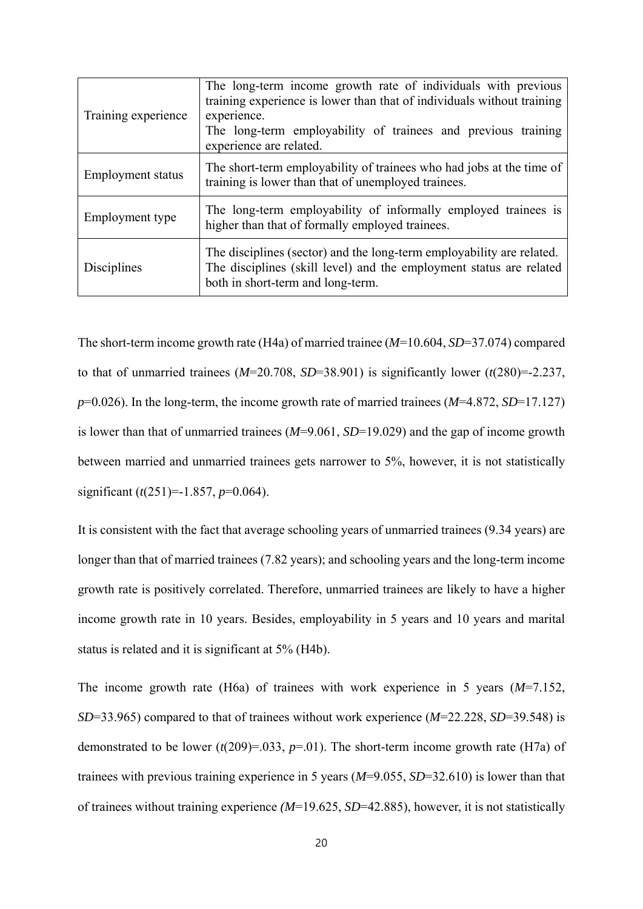| Training experience | The long-term income growth rate of individuals with previous<br>training experience is lower than that of individuals without training<br>experience.<br>The long-term employability of trainees and previous training<br>experience are related. |
|---------------------|----------------------------------------------------------------------------------------------------------------------------------------------------------------------------------------------------------------------------------------------------|
| Employment status   | The short-term employability of trainees who had jobs at the time of<br>training is lower than that of unemployed trainees.                                                                                                                        |
| Employment type     | The long-term employability of informally employed trainees is<br>higher than that of formally employed trainees.                                                                                                                                  |
| Disciplines         | The disciplines (sector) and the long-term employability are related.<br>The disciplines (skill level) and the employment status are related<br>both in short-term and long-term.                                                                  |

The short-term income growth rate (H4a) of married trainee (*M*=10.604, *SD*=37.074) compared to that of unmarried trainees  $(M=20.708, SD=38.901)$  is significantly lower  $(t(280)=2.237,$ *p*=0.026). In the long-term, the income growth rate of married trainees (*M*=4.872, *SD*=17.127) is lower than that of unmarried trainees (*M*=9.061, *SD*=19.029) and the gap of income growth between married and unmarried trainees gets narrower to 5%, however, it is not statistically significant (*t*(251)=-1.857, *p*=0.064).

It is consistent with the fact that average schooling years of unmarried trainees (9.34 years) are longer than that of married trainees (7.82 years); and schooling years and the long-term income growth rate is positively correlated. Therefore, unmarried trainees are likely to have a higher income growth rate in 10 years. Besides, employability in 5 years and 10 years and marital status is related and it is significant at 5% (H4b).

The income growth rate (H6a) of trainees with work experience in 5 years (*M*=7.152, *SD*=33.965) compared to that of trainees without work experience (*M*=22.228, *SD*=39.548) is demonstrated to be lower  $(t(209)=0.033, p=0.01)$ . The short-term income growth rate (H7a) of trainees with previous training experience in 5 years (*M*=9.055, *SD*=32.610) is lower than that of trainees without training experience *(M*=19.625, *SD*=42.885), however, it is not statistically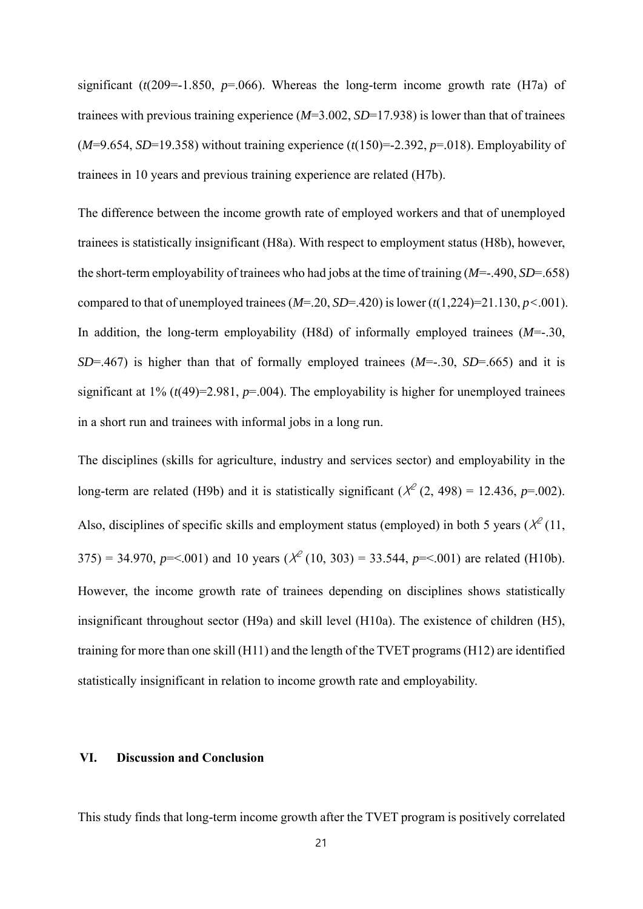significant ( $t(209=1.850, p=.066$ ). Whereas the long-term income growth rate (H7a) of trainees with previous training experience (*M*=3.002, *SD*=17.938) is lower than that of trainees (*M*=9.654, *SD*=19.358) without training experience (*t*(150)=-2.392, *p*=.018). Employability of trainees in 10 years and previous training experience are related (H7b).

The difference between the income growth rate of employed workers and that of unemployed trainees is statistically insignificant (H8a). With respect to employment status (H8b), however, the short-term employability of trainees who had jobs at the time of training (*M*=-.490, *SD*=.658) compared to that of unemployed trainees (*M*=.20, *SD*=.420) is lower (*t*(1,224)=21.130, *p<*.001). In addition, the long-term employability (H8d) of informally employed trainees (*M*=-.30, *SD*=.467) is higher than that of formally employed trainees (*M*=-.30, *SD*=.665) and it is significant at  $1\%$  ( $t(49)=2.981$ ,  $p=.004$ ). The employability is higher for unemployed trainees in a short run and trainees with informal jobs in a long run.

The disciplines (skills for agriculture, industry and services sector) and employability in the long-term are related (H9b) and it is statistically significant ( $\chi^2$  (2, 498) = 12.436, *p*=.002). Also, disciplines of specific skills and employment status (employed) in both 5 years ( $\chi^2$  (11, 375) = 34.970,  $p = 0.001$  and 10 years ( $\chi^2$  (10, 303) = 33.544,  $p = 0.001$ ) are related (H10b). However, the income growth rate of trainees depending on disciplines shows statistically insignificant throughout sector (H9a) and skill level (H10a). The existence of children (H5), training for more than one skill (H11) and the length of the TVET programs (H12) are identified statistically insignificant in relation to income growth rate and employability.

#### **VI. Discussion and Conclusion**

This study finds that long-term income growth after the TVET program is positively correlated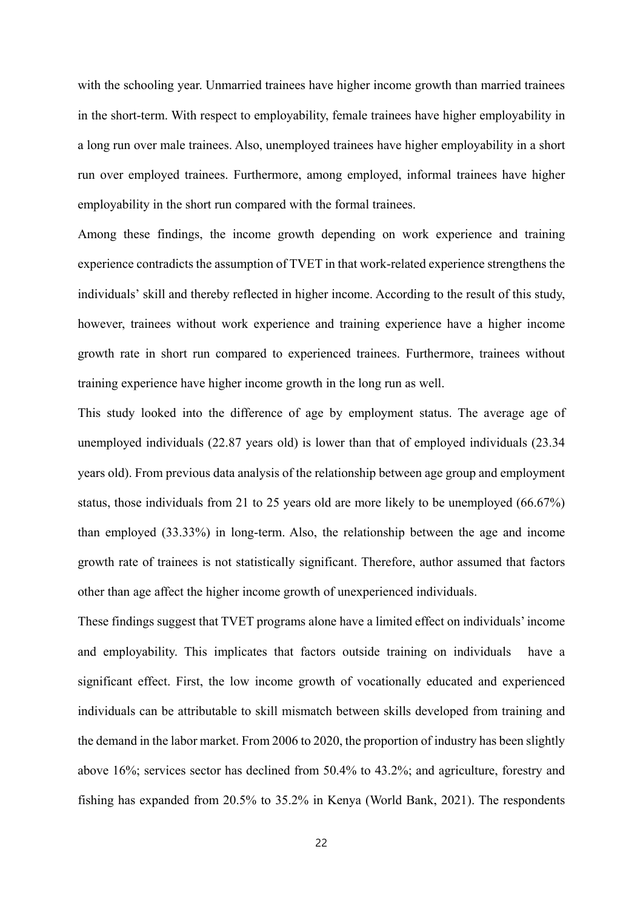with the schooling year. Unmarried trainees have higher income growth than married trainees in the short-term. With respect to employability, female trainees have higher employability in a long run over male trainees. Also, unemployed trainees have higher employability in a short run over employed trainees. Furthermore, among employed, informal trainees have higher employability in the short run compared with the formal trainees.

Among these findings, the income growth depending on work experience and training experience contradicts the assumption of TVET in that work-related experience strengthens the individuals' skill and thereby reflected in higher income. According to the result of this study, however, trainees without work experience and training experience have a higher income growth rate in short run compared to experienced trainees. Furthermore, trainees without training experience have higher income growth in the long run as well.

This study looked into the difference of age by employment status. The average age of unemployed individuals (22.87 years old) is lower than that of employed individuals (23.34 years old). From previous data analysis of the relationship between age group and employment status, those individuals from 21 to 25 years old are more likely to be unemployed (66.67%) than employed (33.33%) in long-term. Also, the relationship between the age and income growth rate of trainees is not statistically significant. Therefore, author assumed that factors other than age affect the higher income growth of unexperienced individuals.

These findings suggest that TVET programs alone have a limited effect on individuals' income and employability. This implicates that factors outside training on individuals have a significant effect. First, the low income growth of vocationally educated and experienced individuals can be attributable to skill mismatch between skills developed from training and the demand in the labor market. From 2006 to 2020, the proportion of industry has been slightly above 16%; services sector has declined from 50.4% to 43.2%; and agriculture, forestry and fishing has expanded from 20.5% to 35.2% in Kenya (World Bank, 2021). The respondents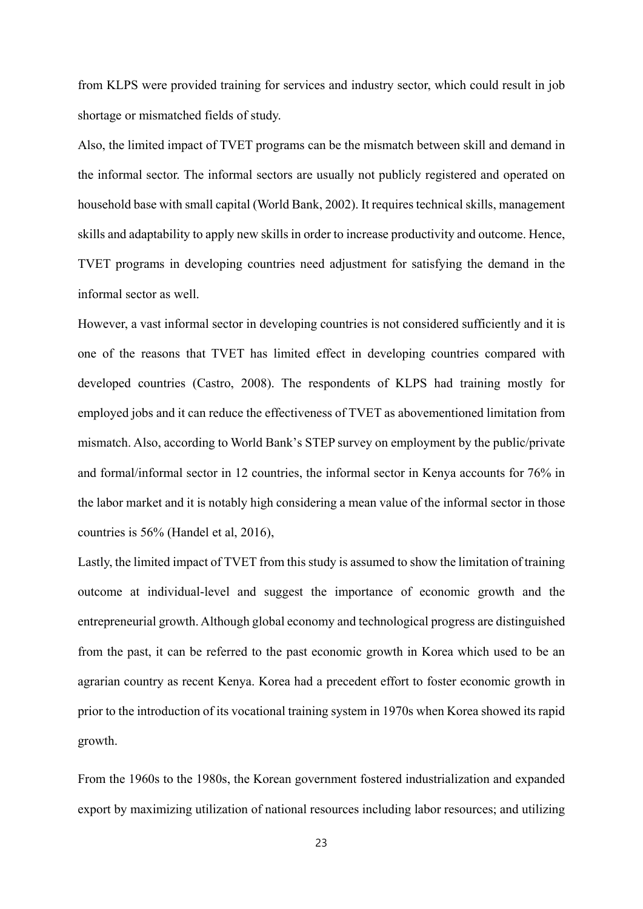from KLPS were provided training for services and industry sector, which could result in job shortage or mismatched fields of study.

Also, the limited impact of TVET programs can be the mismatch between skill and demand in the informal sector. The informal sectors are usually not publicly registered and operated on household base with small capital (World Bank, 2002). It requires technical skills, management skills and adaptability to apply new skills in order to increase productivity and outcome. Hence, TVET programs in developing countries need adjustment for satisfying the demand in the informal sector as well.

However, a vast informal sector in developing countries is not considered sufficiently and it is one of the reasons that TVET has limited effect in developing countries compared with developed countries (Castro, 2008). The respondents of KLPS had training mostly for employed jobs and it can reduce the effectiveness of TVET as abovementioned limitation from mismatch. Also, according to World Bank's STEP survey on employment by the public/private and formal/informal sector in 12 countries, the informal sector in Kenya accounts for 76% in the labor market and it is notably high considering a mean value of the informal sector in those countries is 56% (Handel et al, 2016),

Lastly, the limited impact of TVET from this study is assumed to show the limitation of training outcome at individual-level and suggest the importance of economic growth and the entrepreneurial growth. Although global economy and technological progress are distinguished from the past, it can be referred to the past economic growth in Korea which used to be an agrarian country as recent Kenya. Korea had a precedent effort to foster economic growth in prior to the introduction of its vocational training system in 1970s when Korea showed its rapid growth.

From the 1960s to the 1980s, the Korean government fostered industrialization and expanded export by maximizing utilization of national resources including labor resources; and utilizing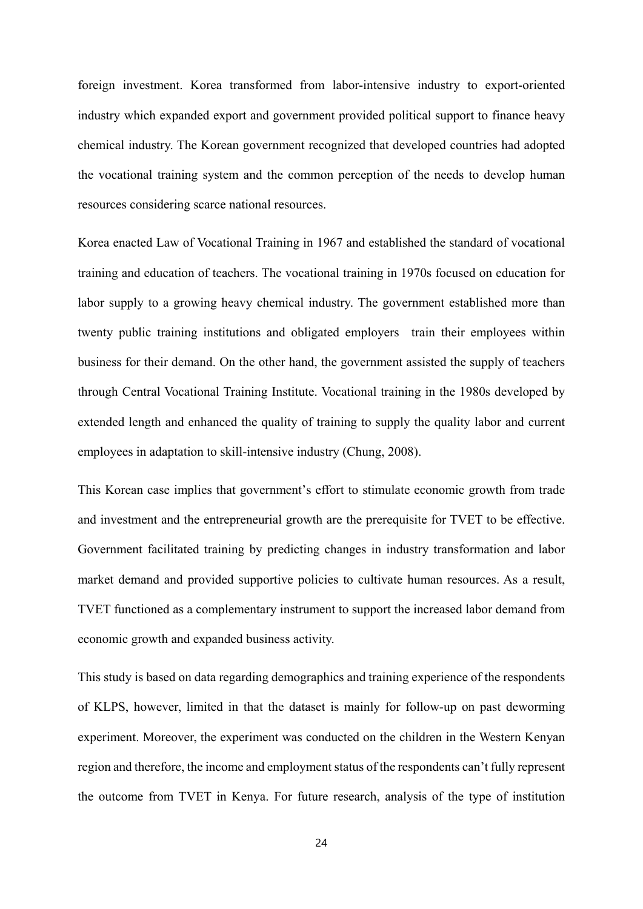foreign investment. Korea transformed from labor-intensive industry to export-oriented industry which expanded export and government provided political support to finance heavy chemical industry. The Korean government recognized that developed countries had adopted the vocational training system and the common perception of the needs to develop human resources considering scarce national resources.

Korea enacted Law of Vocational Training in 1967 and established the standard of vocational training and education of teachers. The vocational training in 1970s focused on education for labor supply to a growing heavy chemical industry. The government established more than twenty public training institutions and obligated employers train their employees within business for their demand. On the other hand, the government assisted the supply of teachers through Central Vocational Training Institute. Vocational training in the 1980s developed by extended length and enhanced the quality of training to supply the quality labor and current employees in adaptation to skill-intensive industry (Chung, 2008).

This Korean case implies that government's effort to stimulate economic growth from trade and investment and the entrepreneurial growth are the prerequisite for TVET to be effective. Government facilitated training by predicting changes in industry transformation and labor market demand and provided supportive policies to cultivate human resources. As a result, TVET functioned as a complementary instrument to support the increased labor demand from economic growth and expanded business activity.

This study is based on data regarding demographics and training experience of the respondents of KLPS, however, limited in that the dataset is mainly for follow-up on past deworming experiment. Moreover, the experiment was conducted on the children in the Western Kenyan region and therefore, the income and employment status of the respondents can't fully represent the outcome from TVET in Kenya. For future research, analysis of the type of institution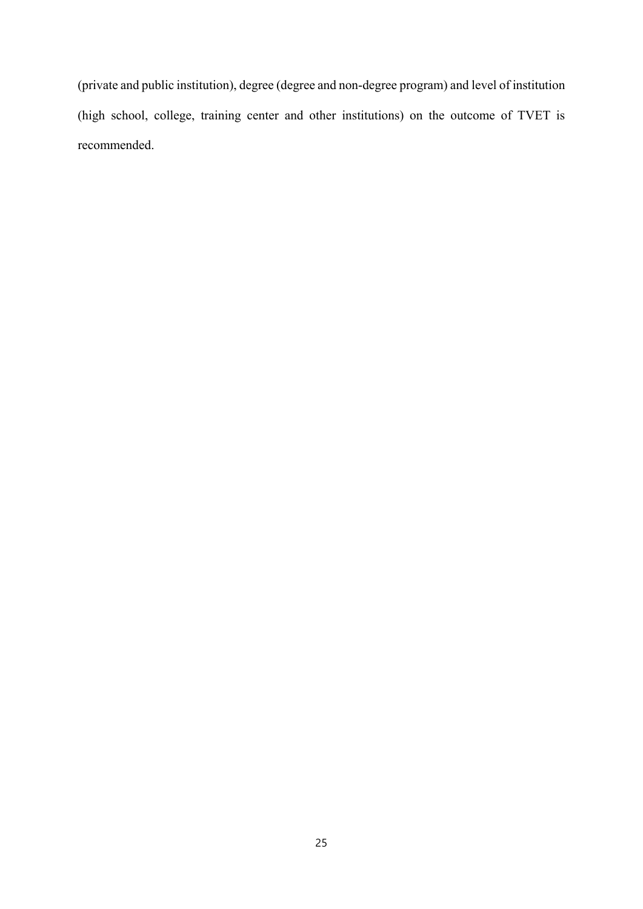(private and public institution), degree (degree and non-degree program) and level of institution (high school, college, training center and other institutions) on the outcome of TVET is recommended.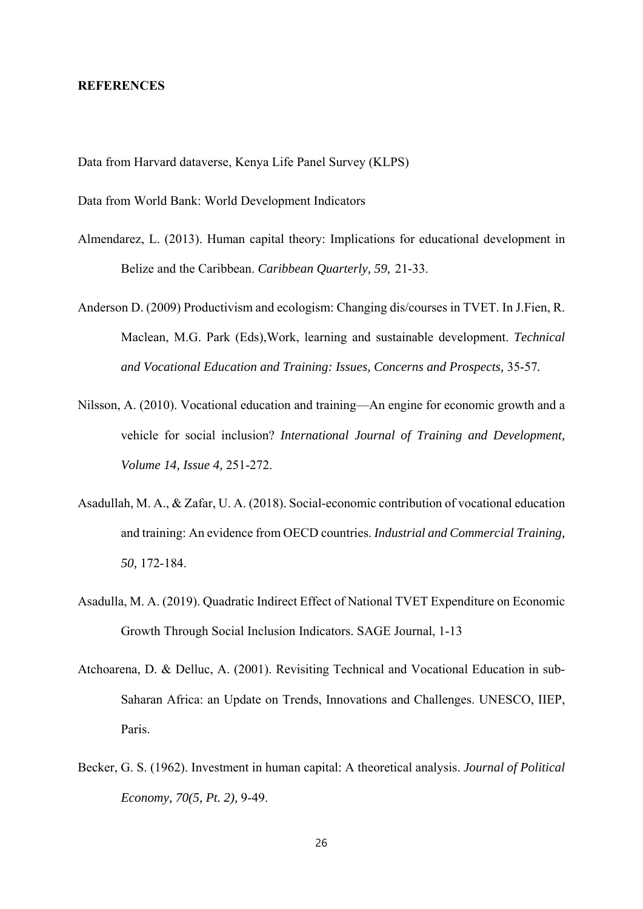#### **REFERENCES**

Data from Harvard dataverse, Kenya Life Panel Survey (KLPS)

Data from World Bank: World Development Indicators

- Almendarez, L. (2013). Human capital theory: Implications for educational development in Belize and the Caribbean. *Caribbean Quarterly, 59,* 21-33.
- Anderson D. (2009) Productivism and ecologism: Changing dis/courses in TVET. In J.Fien, R. Maclean, M.G. Park (Eds),Work, learning and sustainable development. *Technical and Vocational Education and Training: Issues, Concerns and Prospects,* 35-57*.*
- Nilsson, A. (2010). Vocational education and training—An engine for economic growth and a vehicle for social inclusion? *International Journal of Training and Development, Volume 14, Issue 4,* 251-272.
- Asadullah, M. A., & Zafar, U. A. (2018). Social-economic contribution of vocational education and training: An evidence from OECD countries. *Industrial and Commercial Training, 50,* 172-184.
- Asadulla, M. A. (2019). Quadratic Indirect Effect of National TVET Expenditure on Economic Growth Through Social Inclusion Indicators. SAGE Journal, 1-13
- Atchoarena, D. & Delluc, A. (2001). Revisiting Technical and Vocational Education in sub-Saharan Africa: an Update on Trends, Innovations and Challenges. UNESCO, IIEP, Paris.
- Becker, G. S. (1962). Investment in human capital: A theoretical analysis. *Journal of Political Economy, 70(5, Pt. 2),* 9-49.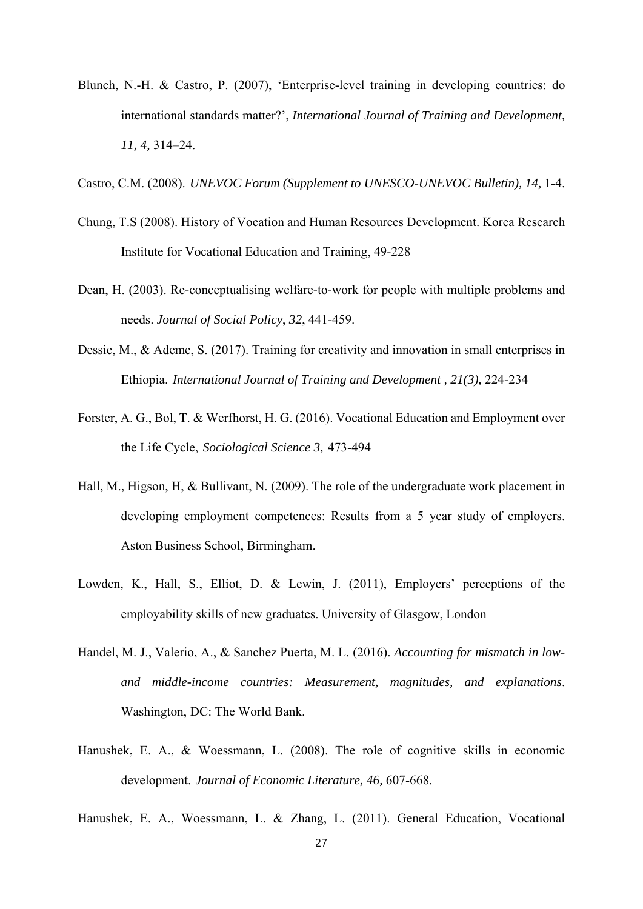- Blunch, N.-H. & Castro, P. (2007), 'Enterprise-level training in developing countries: do international standards matter?', *International Journal of Training and Development, 11, 4,* 314–24.
- Castro, C.M. (2008). *UNEVOC Forum (Supplement to UNESCO-UNEVOC Bulletin), 14, 1-4.*
- Chung, T.S (2008). History of Vocation and Human Resources Development. Korea Research Institute for Vocational Education and Training, 49-228
- Dean, H. (2003). Re-conceptualising welfare-to-work for people with multiple problems and needs. *Journal of Social Policy*, *32*, 441-459.
- Dessie, M., & Ademe, S. (2017). Training for creativity and innovation in small enterprises in Ethiopia. *International Journal of Training and Development , 21(3),* 224-234
- Forster, A. G., Bol, T. & Werfhorst, H. G. (2016). Vocational Education and Employment over the Life Cycle, *Sociological Science 3,* 473-494
- Hall, M., Higson, H, & Bullivant, N. (2009). The role of the undergraduate work placement in developing employment competences: Results from a 5 year study of employers. Aston Business School, Birmingham.
- Lowden, K., Hall, S., Elliot, D. & Lewin, J. (2011), Employers' perceptions of the employability skills of new graduates. University of Glasgow, London
- Handel, M. J., Valerio, A., & Sanchez Puerta, M. L. (2016). *Accounting for mismatch in lowand middle-income countries: Measurement, magnitudes, and explanations*. Washington, DC: The World Bank.
- Hanushek, E. A., & Woessmann, L. (2008). The role of cognitive skills in economic development. *Journal of Economic Literature, 46,* 607-668.

Hanushek, E. A., Woessmann, L. & Zhang, L. (2011). General Education, Vocational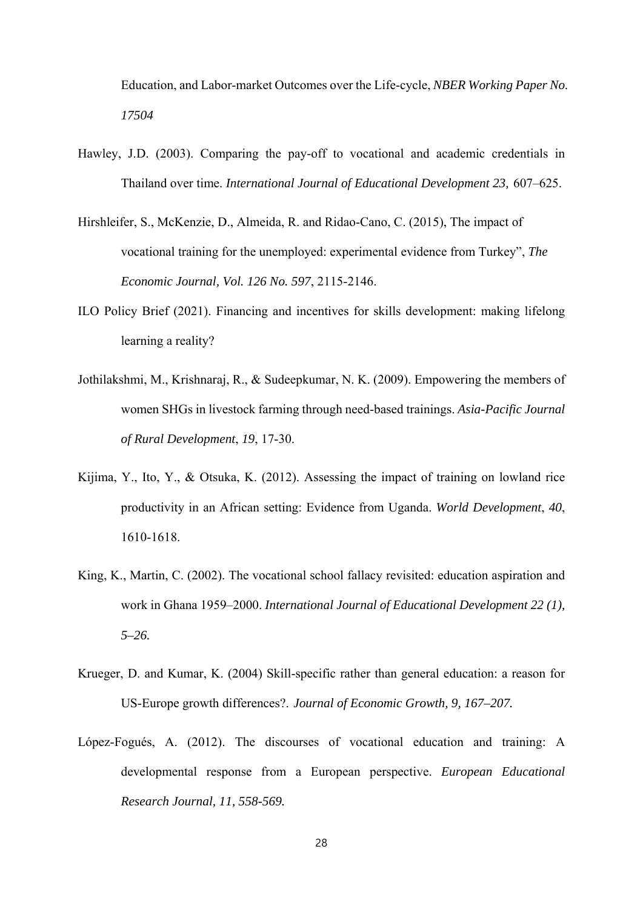Education, and Labor-market Outcomes over the Life-cycle, *NBER Working Paper No. 17504*

- Hawley, J.D. (2003). Comparing the pay-off to vocational and academic credentials in Thailand over time. *International Journal of Educational Development 23,* 607–625.
- Hirshleifer, S., McKenzie, D., Almeida, R. and Ridao-Cano, C. (2015), The impact of vocational training for the unemployed: experimental evidence from Turkey", *The Economic Journal, Vol. 126 No. 597*, 2115-2146.
- ILO Policy Brief (2021). Financing and incentives for skills development: making lifelong learning a reality?
- Jothilakshmi, M., Krishnaraj, R., & Sudeepkumar, N. K. (2009). Empowering the members of women SHGs in livestock farming through need-based trainings. *Asia-Pacific Journal of Rural Development*, *19*, 17-30.
- Kijima, Y., Ito, Y., & Otsuka, K. (2012). Assessing the impact of training on lowland rice productivity in an African setting: Evidence from Uganda. *World Development*, *40*, 1610-1618.
- King, K., Martin, C. (2002). The vocational school fallacy revisited: education aspiration and work in Ghana 1959–2000. *International Journal of Educational Development 22 (1), 5–26.*
- Krueger, D. and Kumar, K. (2004) Skill-specific rather than general education: a reason for US-Europe growth differences?. *Journal of Economic Growth, 9, 167–207.*
- López-Fogués, A. (2012). The discourses of vocational education and training: A developmental response from a European perspective. *European Educational Research Journal, 11, 558-569.*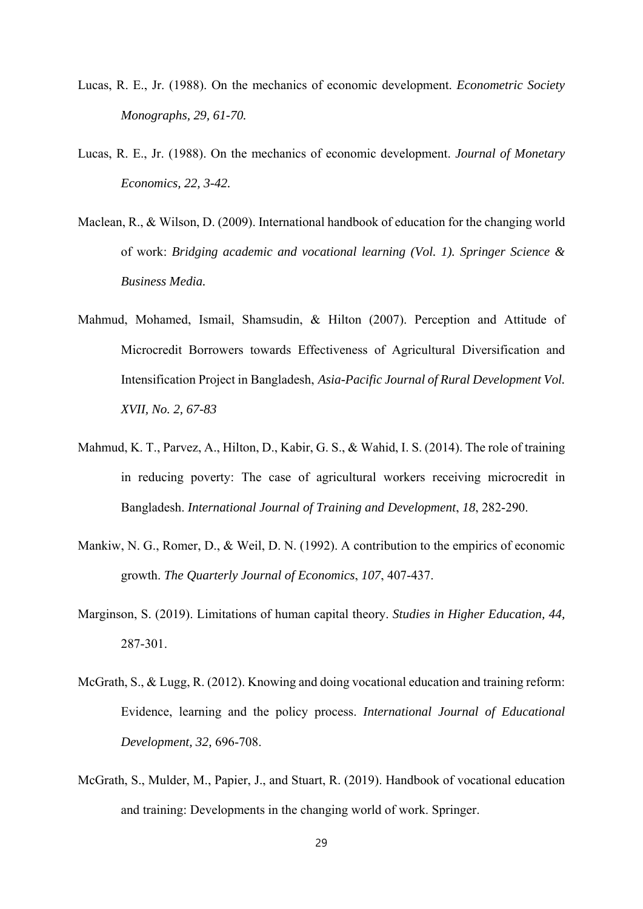- Lucas, R. E., Jr. (1988). On the mechanics of economic development. *Econometric Society Monographs, 29, 61-70.*
- Lucas, R. E., Jr. (1988). On the mechanics of economic development. *Journal of Monetary Economics, 22, 3-42.*
- Maclean, R., & Wilson, D. (2009). International handbook of education for the changing world of work: *Bridging academic and vocational learning (Vol. 1). Springer Science & Business Media.*
- Mahmud, Mohamed, Ismail, Shamsudin, & Hilton (2007). Perception and Attitude of Microcredit Borrowers towards Effectiveness of Agricultural Diversification and Intensification Project in Bangladesh, *Asia-Pacific Journal of Rural Development Vol. XVII, No. 2, 67-83*
- Mahmud, K. T., Parvez, A., Hilton, D., Kabir, G. S., & Wahid, I. S. (2014). The role of training in reducing poverty: The case of agricultural workers receiving microcredit in Bangladesh. *International Journal of Training and Development*, *18*, 282-290.
- Mankiw, N. G., Romer, D., & Weil, D. N. (1992). A contribution to the empirics of economic growth. *The Quarterly Journal of Economics*, *107*, 407-437.
- Marginson, S. (2019). Limitations of human capital theory. *Studies in Higher Education, 44,*  287-301.
- McGrath, S., & Lugg, R. (2012). Knowing and doing vocational education and training reform: Evidence, learning and the policy process. *International Journal of Educational Development, 32,* 696-708.
- McGrath, S., Mulder, M., Papier, J., and Stuart, R. (2019). Handbook of vocational education and training: Developments in the changing world of work. Springer.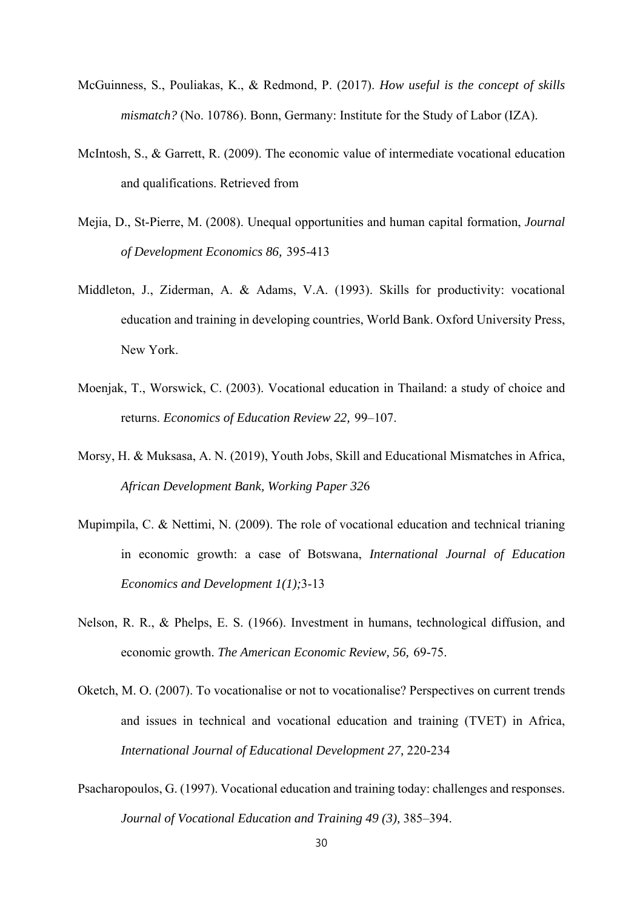- McGuinness, S., Pouliakas, K., & Redmond, P. (2017). *How useful is the concept of skills mismatch?* (No. 10786). Bonn, Germany: Institute for the Study of Labor (IZA).
- McIntosh, S., & Garrett, R. (2009). The economic value of intermediate vocational education and qualifications. Retrieved from
- Mejia, D., St-Pierre, M. (2008). Unequal opportunities and human capital formation, *Journal of Development Economics 86,* 395-413
- Middleton, J., Ziderman, A. & Adams, V.A. (1993). Skills for productivity: vocational education and training in developing countries, World Bank. Oxford University Press, New York.
- Moenjak, T., Worswick, C. (2003). Vocational education in Thailand: a study of choice and returns. *Economics of Education Review 22,* 99–107.
- Morsy, H. & Muksasa, A. N. (2019), Youth Jobs, Skill and Educational Mismatches in Africa, *African Development Bank, Working Paper 32*6
- Mupimpila, C. & Nettimi, N. (2009). The role of vocational education and technical trianing in economic growth: a case of Botswana, *International Journal of Education Economics and Development 1(1);*3-13
- Nelson, R. R., & Phelps, E. S. (1966). Investment in humans, technological diffusion, and economic growth. *The American Economic Review, 56,* 69-75.
- Oketch, M. O. (2007). To vocationalise or not to vocationalise? Perspectives on current trends and issues in technical and vocational education and training (TVET) in Africa, *International Journal of Educational Development 27,* 220-234
- Psacharopoulos, G. (1997). Vocational education and training today: challenges and responses. *Journal of Vocational Education and Training 49 (3),* 385–394.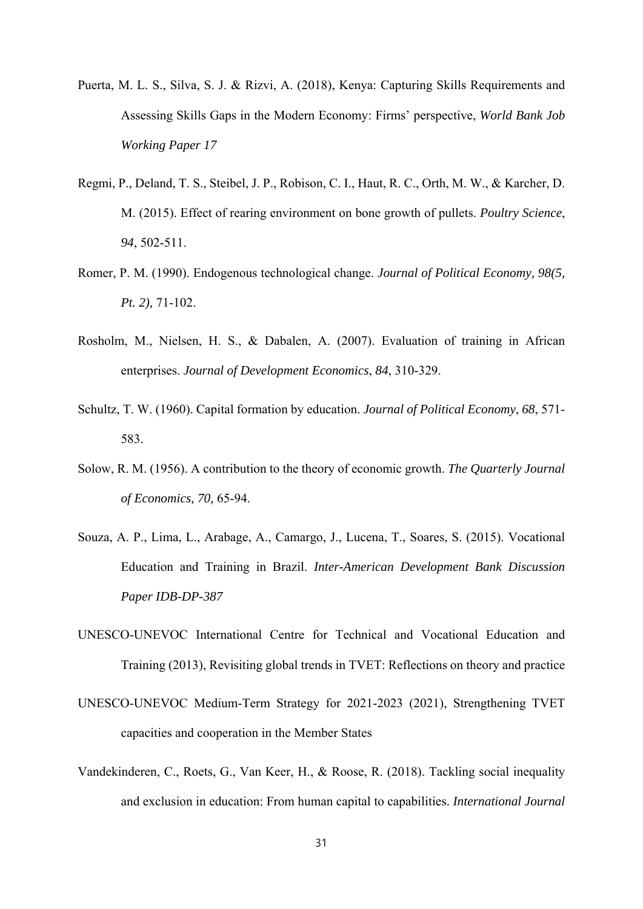- Puerta, M. L. S., Silva, S. J. & Rizvi, A. (2018), Kenya: Capturing Skills Requirements and Assessing Skills Gaps in the Modern Economy: Firms' perspective, *World Bank Job Working Paper 17*
- Regmi, P., Deland, T. S., Steibel, J. P., Robison, C. I., Haut, R. C., Orth, M. W., & Karcher, D. M. (2015). Effect of rearing environment on bone growth of pullets. *Poultry Science*, *94*, 502-511.
- Romer, P. M. (1990). Endogenous technological change. *Journal of Political Economy, 98(5, Pt. 2),* 71-102.
- Rosholm, M., Nielsen, H. S., & Dabalen, A. (2007). Evaluation of training in African enterprises. *Journal of Development Economics*, *84*, 310-329.
- Schultz, T. W. (1960). Capital formation by education. *Journal of Political Economy*, *68*, 571- 583.
- Solow, R. M. (1956). A contribution to the theory of economic growth. *The Quarterly Journal of Economics, 70,* 65-94.
- Souza, A. P., Lima, L., Arabage, A., Camargo, J., Lucena, T., Soares, S. (2015). Vocational Education and Training in Brazil. *Inter-American Development Bank Discussion Paper IDB-DP-387*
- UNESCO-UNEVOC International Centre for Technical and Vocational Education and Training (2013), Revisiting global trends in TVET: Reflections on theory and practice
- UNESCO-UNEVOC Medium-Term Strategy for 2021-2023 (2021), Strengthening TVET capacities and cooperation in the Member States
- Vandekinderen, C., Roets, G., Van Keer, H., & Roose, R. (2018). Tackling social inequality and exclusion in education: From human capital to capabilities. *International Journal*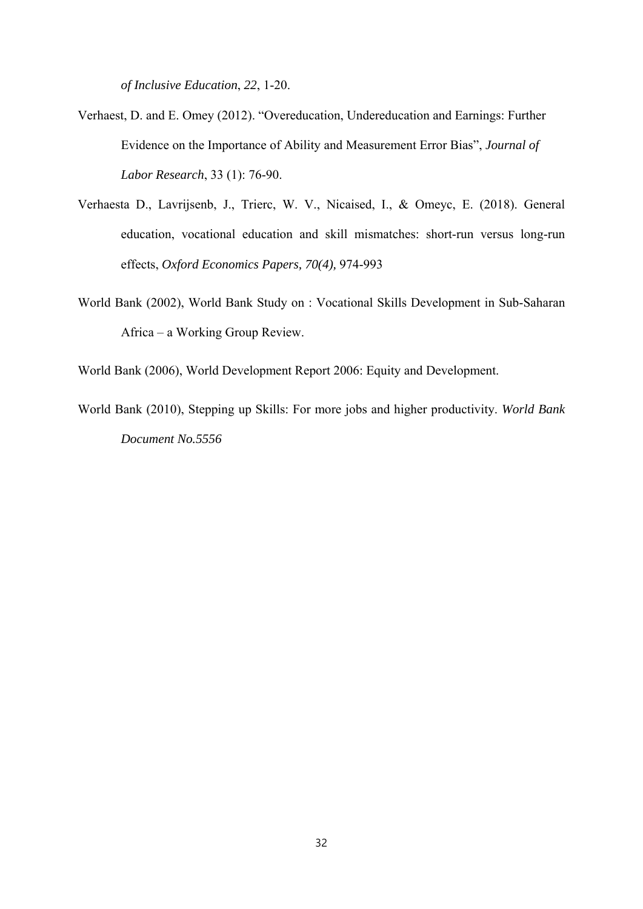*of Inclusive Education*, *22*, 1-20.

- Verhaest, D. and E. Omey (2012). "Overeducation, Undereducation and Earnings: Further Evidence on the Importance of Ability and Measurement Error Bias", *Journal of Labor Research*, 33 (1): 76-90.
- Verhaesta D., Lavrijsenb, J., Trierc, W. V., Nicaised, I., & Omeyc, E. (2018). General education, vocational education and skill mismatches: short-run versus long-run effects, *Oxford Economics Papers, 70(4),* 974-993
- World Bank (2002), World Bank Study on : Vocational Skills Development in Sub-Saharan Africa – a Working Group Review.

World Bank (2006), World Development Report 2006: Equity and Development.

World Bank (2010), Stepping up Skills: For more jobs and higher productivity. *World Bank Document No.5556*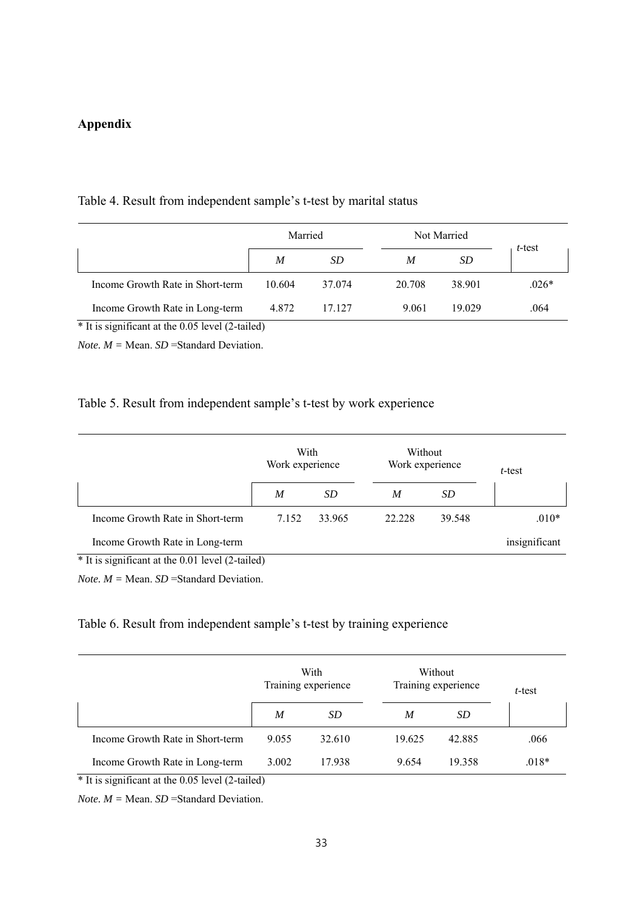# **Appendix**

#### Table 4. Result from independent sample's t-test by marital status

|                                  | Married |        | Not Married |        |         |
|----------------------------------|---------|--------|-------------|--------|---------|
|                                  | M       | SD     | M           | SD.    | t-test  |
| Income Growth Rate in Short-term | 10.604  | 37.074 | 20.708      | 38.901 | $.026*$ |
| Income Growth Rate in Long-term  | 4.872   | 17.127 | 9.061       | 19.029 | .064    |

\* It is significant at the 0.05 level (2-tailed)

*Note. M =* Mean. *SD* =Standard Deviation.

### Table 5. Result from independent sample's t-test by work experience

|                                                  | With<br>Work experience |        | Without<br>Work experience |        | t-test        |  |
|--------------------------------------------------|-------------------------|--------|----------------------------|--------|---------------|--|
|                                                  | M                       | SD     | M                          | SD     |               |  |
| Income Growth Rate in Short-term                 | 7.152                   | 33.965 | 22.228                     | 39.548 | $.010*$       |  |
| Income Growth Rate in Long-term                  |                         |        |                            |        | insignificant |  |
| * It is significant at the 0.01 level (2-tailed) |                         |        |                            |        |               |  |

*Note. M =* Mean. *SD* =Standard Deviation.

## Table 6. Result from independent sample's t-test by training experience

|                                  | With<br>Training experience |           | Without<br>Training experience |        | t-test  |
|----------------------------------|-----------------------------|-----------|--------------------------------|--------|---------|
|                                  | M                           | <i>SD</i> | M                              | SD     |         |
| Income Growth Rate in Short-term | 9.055                       | 32.610    | 19.625                         | 42.885 | .066    |
| Income Growth Rate in Long-term  | 3.002                       | 17.938    | 9.654                          | 19.358 | $.018*$ |

\* It is significant at the 0.05 level (2-tailed)

*Note.*  $M = \text{Mean}$ . *SD* = Standard Deviation.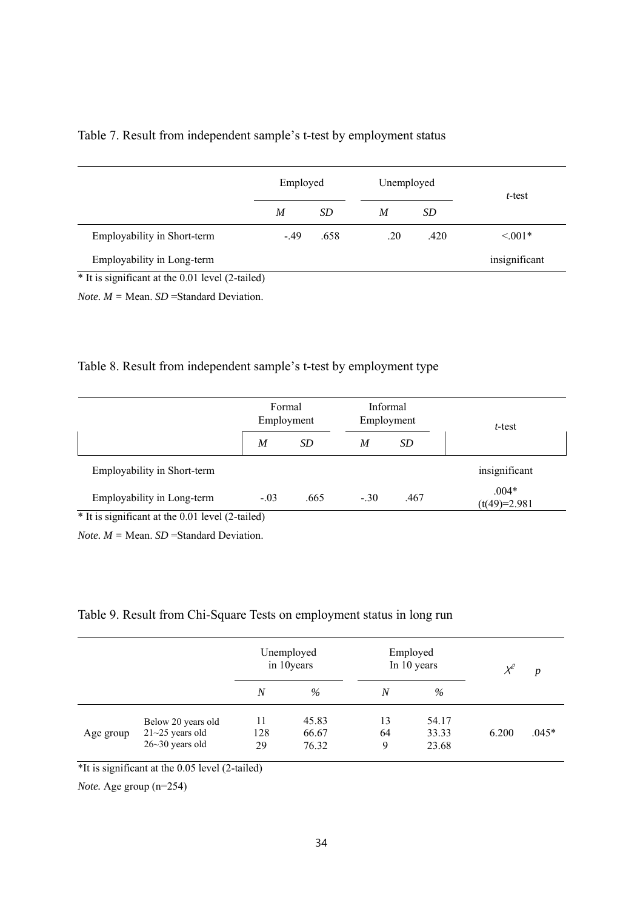|  | Table 7. Result from independent sample's t-test by employment status |
|--|-----------------------------------------------------------------------|
|  |                                                                       |

|                                                  | Employed |           | Unemployed |      | $t$ -test     |
|--------------------------------------------------|----------|-----------|------------|------|---------------|
|                                                  | M        | <i>SD</i> | M          | SD   |               |
| Employability in Short-term                      | $-.49$   | .658      | .20        | .420 | $\leq 0.01*$  |
| Employability in Long-term                       |          |           |            |      | insignificant |
| * It is significant at the 0.01 level (2-tailed) |          |           |            |      |               |

*Note.*  $M = \text{Mean}$ . *SD* = Standard Deviation.

# Table 8. Result from independent sample's t-test by employment type

|                             |                  | Formal<br>Employment |        | Informal<br>Employment | t-test                    |  |
|-----------------------------|------------------|----------------------|--------|------------------------|---------------------------|--|
|                             | $\boldsymbol{M}$ | SD                   | M      | SD                     |                           |  |
| Employability in Short-term |                  |                      |        |                        | insignificant             |  |
| Employability in Long-term  | $-.03$           | .665                 | $-.30$ | .467                   | $.004*$<br>$(t(49)=2.981$ |  |

*Note.*  $M = \text{Mean}$ . *SD* = Standard Deviation.

# Table 9. Result from Chi-Square Tests on employment status in long run

|           |                                                                  | Unemployed<br>in 10 years |                         | Employed<br>In 10 years |                         | $\chi^2$ | p       |
|-----------|------------------------------------------------------------------|---------------------------|-------------------------|-------------------------|-------------------------|----------|---------|
|           |                                                                  | $\boldsymbol{N}$          | $\%$                    | N                       | $\%$                    |          |         |
| Age group | Below 20 years old<br>$21 - 25$ years old<br>$26 - 30$ years old | 11<br>128<br>29           | 45.83<br>66.67<br>76.32 | 13<br>64<br>9           | 54.17<br>33.33<br>23.68 | 6.200    | $.045*$ |

\*It is significant at the 0.05 level (2-tailed)

*Note.* Age group (n=254)